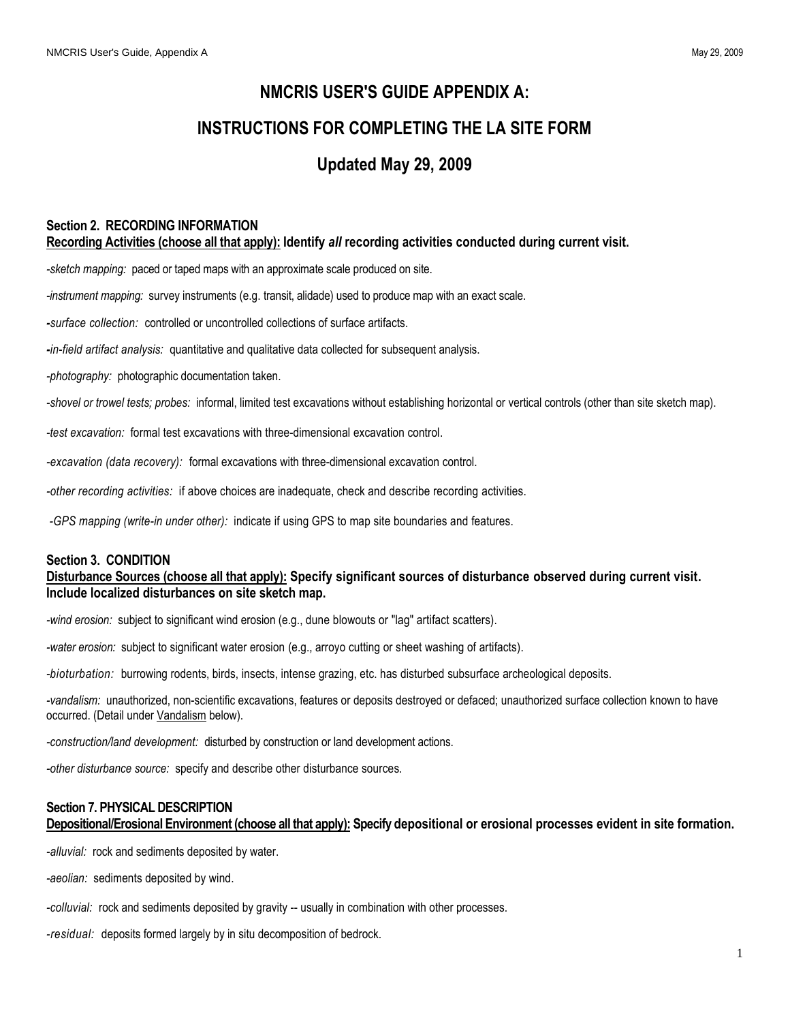# **NMCRIS USER'S GUIDE APPENDIX A:**

# **INSTRUCTIONS FOR COMPLETING THE LA SITE FORM**

# **Updated May 29, 2009**

# **Section 2. RECORDING INFORMATION**

**Recording Activities (choose all that apply): Identify** *all* **recording activities conducted during current visit.**

*-sketch mapping:* paced or taped maps with an approximate scale produced on site.

*-instrument mapping:* survey instruments (e.g. transit, alidade) used to produce map with an exact scale.

*-surface collection:* controlled or uncontrolled collections of surface artifacts.

*-in-field artifact analysis:* quantitative and qualitative data collected for subsequent analysis.

*-photography:* photographic documentation taken.

*-shovel or trowel tests; probes:* informal, limited test excavations without establishing horizontal or vertical controls (other than site sketch map).

*-test excavation:* formal test excavations with three-dimensional excavation control.

*-excavation (data recovery):* formal excavations with three-dimensional excavation control.

*-other recording activities:* if above choices are inadequate, check and describe recording activities.

*-GPS mapping (write-in under other):* indicate if using GPS to map site boundaries and features.

#### **Section 3. CONDITION**

### **Disturbance Sources (choose all that apply): Specify significant sources of disturbance observed during current visit. Include localized disturbances on site sketch map.**

*-wind erosion:* subject to significant wind erosion (e.g., dune blowouts or "lag" artifact scatters).

*-water erosion:* subject to significant water erosion (e.g., arroyo cutting or sheet washing of artifacts).

*-bioturbation:* burrowing rodents, birds, insects, intense grazing, etc. has disturbed subsurface archeological deposits.

*-vandalism:* unauthorized, non-scientific excavations, features or deposits destroyed or defaced; unauthorized surface collection known to have occurred. (Detail under Vandalism below).

*-construction/land development:* disturbed by construction or land development actions.

*-other disturbance source:* specify and describe other disturbance sources.

# **Section 7. PHYSICAL DESCRIPTION**

**Depositional/Erosional Environment (choose all that apply): Specify depositional or erosional processes evident in site formation.**

*-alluvial:* rock and sediments deposited by water.

*-aeolian:* sediments deposited by wind.

*-colluvial:* rock and sediments deposited by gravity -- usually in combination with other processes.

*-residual:* deposits formed largely by in situ decomposition of bedrock.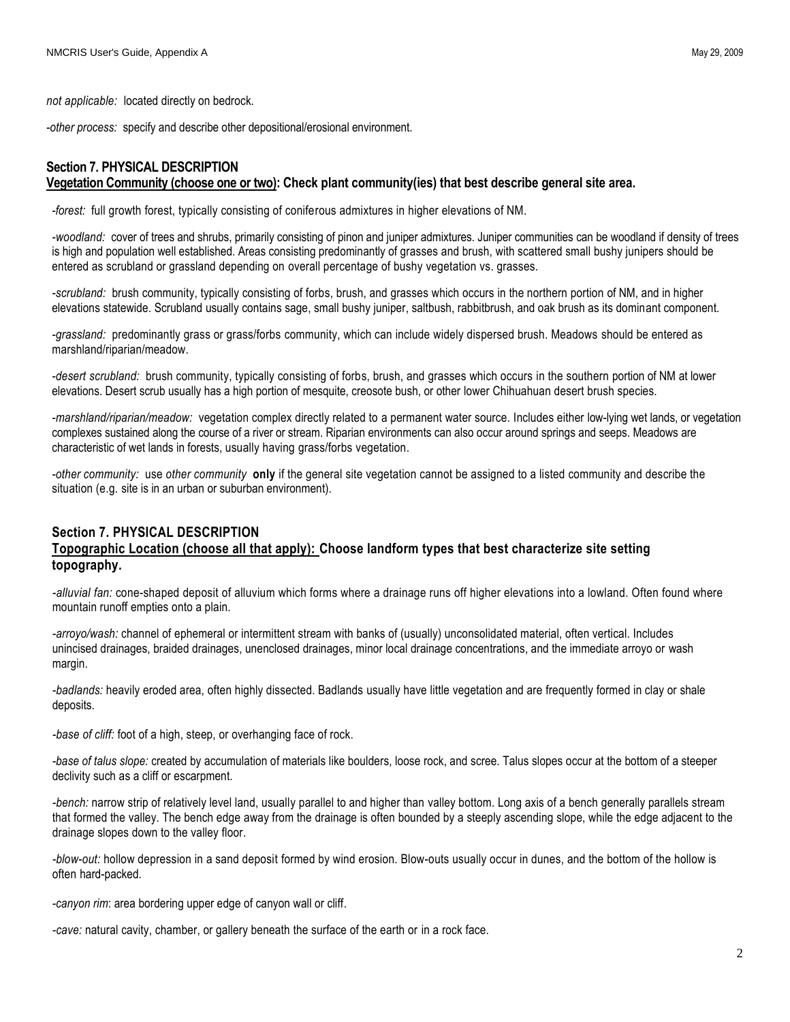*not applicable:* located directly on bedrock.

*-other process:* specify and describe other depositional/erosional environment.

#### **Section 7. PHYSICAL DESCRIPTION Vegetation Community (choose one or two): Check plant community(ies) that best describe general site area.**

*-forest:* full growth forest, typically consisting of coniferous admixtures in higher elevations of NM.

*-woodland:* cover of trees and shrubs, primarily consisting of pinon and juniper admixtures. Juniper communities can be woodland if density of trees is high and population well established. Areas consisting predominantly of grasses and brush, with scattered small bushy junipers should be entered as scrubland or grassland depending on overall percentage of bushy vegetation vs. grasses.

*-scrubland:* brush community, typically consisting of forbs, brush, and grasses which occurs in the northern portion of NM, and in higher elevations statewide. Scrubland usually contains sage, small bushy juniper, saltbush, rabbitbrush, and oak brush as its dominant component.

*-grassland:* predominantly grass or grass/forbs community, which can include widely dispersed brush. Meadows should be entered as marshland/riparian/meadow.

*-desert scrubland:* brush community, typically consisting of forbs, brush, and grasses which occurs in the southern portion of NM at lower elevations. Desert scrub usually has a high portion of mesquite, creosote bush, or other lower Chihuahuan desert brush species.

*-marshland/riparian/meadow:* vegetation complex directly related to a permanent water source. Includes either low-lying wet lands, or vegetation complexes sustained along the course of a river or stream. Riparian environments can also occur around springs and seeps. Meadows are characteristic of wet lands in forests, usually having grass/forbs vegetation.

*-other community:* use *other community* **only** if the general site vegetation cannot be assigned to a listed community and describe the situation (e.g. site is in an urban or suburban environment).

## **Section 7. PHYSICAL DESCRIPTION Topographic Location (choose all that apply): Choose landform types that best characterize site setting topography.**

*-alluvial fan:* cone-shaped deposit of alluvium which forms where a drainage runs off higher elevations into a lowland. Often found where mountain runoff empties onto a plain.

*-arroyo/wash:* channel of ephemeral or intermittent stream with banks of (usually) unconsolidated material, often vertical. Includes unincised drainages, braided drainages, unenclosed drainages, minor local drainage concentrations, and the immediate arroyo or wash margin.

*-badlands:* heavily eroded area, often highly dissected. Badlands usually have little vegetation and are frequently formed in clay or shale deposits.

*-base of cliff:* foot of a high, steep, or overhanging face of rock.

*-base of talus slope:* created by accumulation of materials like boulders, loose rock, and scree. Talus slopes occur at the bottom of a steeper declivity such as a cliff or escarpment.

*-bench:* narrow strip of relatively level land, usually parallel to and higher than valley bottom. Long axis of a bench generally parallels stream that formed the valley. The bench edge away from the drainage is often bounded by a steeply ascending slope, while the edge adjacent to the drainage slopes down to the valley floor.

*-blow-out:* hollow depression in a sand deposit formed by wind erosion. Blow-outs usually occur in dunes, and the bottom of the hollow is often hard-packed.

*-canyon rim*: area bordering upper edge of canyon wall or cliff.

*-cave:* natural cavity, chamber, or gallery beneath the surface of the earth or in a rock face.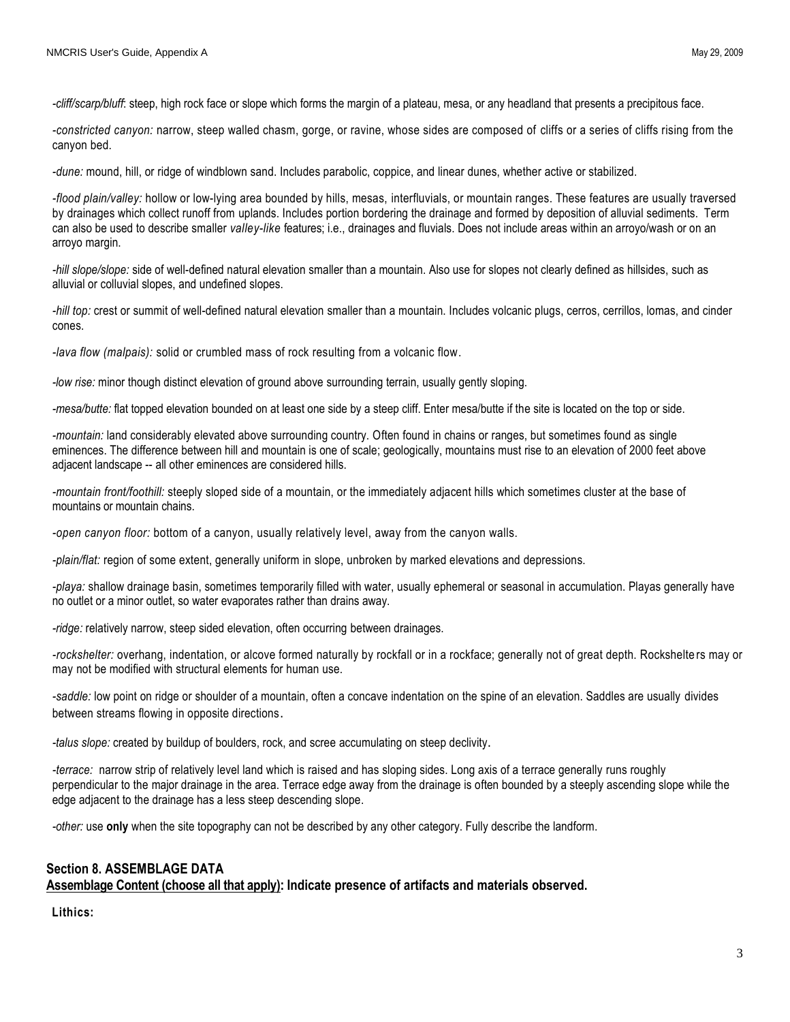*-cliff/scarp/bluff*: steep, high rock face or slope which forms the margin of a plateau, mesa, or any headland that presents a precipitous face.

*-constricted canyon:* narrow, steep walled chasm, gorge, or ravine, whose sides are composed of cliffs or a series of cliffs rising from the canyon bed.

*-dune:* mound, hill, or ridge of windblown sand. Includes parabolic, coppice, and linear dunes, whether active or stabilized.

*-flood plain/valley:* hollow or low-lying area bounded by hills, mesas, interfluvials, or mountain ranges. These features are usually traversed by drainages which collect runoff from uplands. Includes portion bordering the drainage and formed by deposition of alluvial sediments. Term can also be used to describe smaller *valley-like* features; i.e., drainages and fluvials. Does not include areas within an arroyo/wash or on an arroyo margin.

*-hill slope/slope:* side of well-defined natural elevation smaller than a mountain. Also use for slopes not clearly defined as hillsides, such as alluvial or colluvial slopes, and undefined slopes.

*-hill top:* crest or summit of well-defined natural elevation smaller than a mountain. Includes volcanic plugs, cerros, cerrillos, lomas, and cinder cones.

*-lava flow (malpais):* solid or crumbled mass of rock resulting from a volcanic flow.

*-low rise:* minor though distinct elevation of ground above surrounding terrain, usually gently sloping.

*-mesa/butte:* flat topped elevation bounded on at least one side by a steep cliff. Enter mesa/butte if the site is located on the top or side.

*-mountain:* land considerably elevated above surrounding country. Often found in chains or ranges, but sometimes found as single eminences. The difference between hill and mountain is one of scale; geologically, mountains must rise to an elevation of 2000 feet above adjacent landscape -- all other eminences are considered hills.

*-mountain front/foothill:* steeply sloped side of a mountain, or the immediately adjacent hills which sometimes cluster at the base of mountains or mountain chains.

*-open canyon floor:* bottom of a canyon, usually relatively level, away from the canyon walls.

*-plain/flat:* region of some extent, generally uniform in slope, unbroken by marked elevations and depressions.

*-playa:* shallow drainage basin, sometimes temporarily filled with water, usually ephemeral or seasonal in accumulation. Playas generally have no outlet or a minor outlet, so water evaporates rather than drains away.

*-ridge:* relatively narrow, steep sided elevation, often occurring between drainages.

*-rockshelter:* overhang, indentation, or alcove formed naturally by rockfall or in a rockface; generally not of great depth. Rockshelte rs may or may not be modified with structural elements for human use.

*-saddle:* low point on ridge or shoulder of a mountain, often a concave indentation on the spine of an elevation. Saddles are usually divides between streams flowing in opposite directions.

*-talus slope:* created by buildup of boulders, rock, and scree accumulating on steep declivity.

*-terrace:* narrow strip of relatively level land which is raised and has sloping sides. Long axis of a terrace generally runs roughly perpendicular to the major drainage in the area. Terrace edge away from the drainage is often bounded by a steeply ascending slope while the edge adjacent to the drainage has a less steep descending slope.

*-other:* use **only** when the site topography can not be described by any other category. Fully describe the landform.

## **Section 8. ASSEMBLAGE DATA**

**Assemblage Content (choose all that apply): Indicate presence of artifacts and materials observed.**

**Lithics:**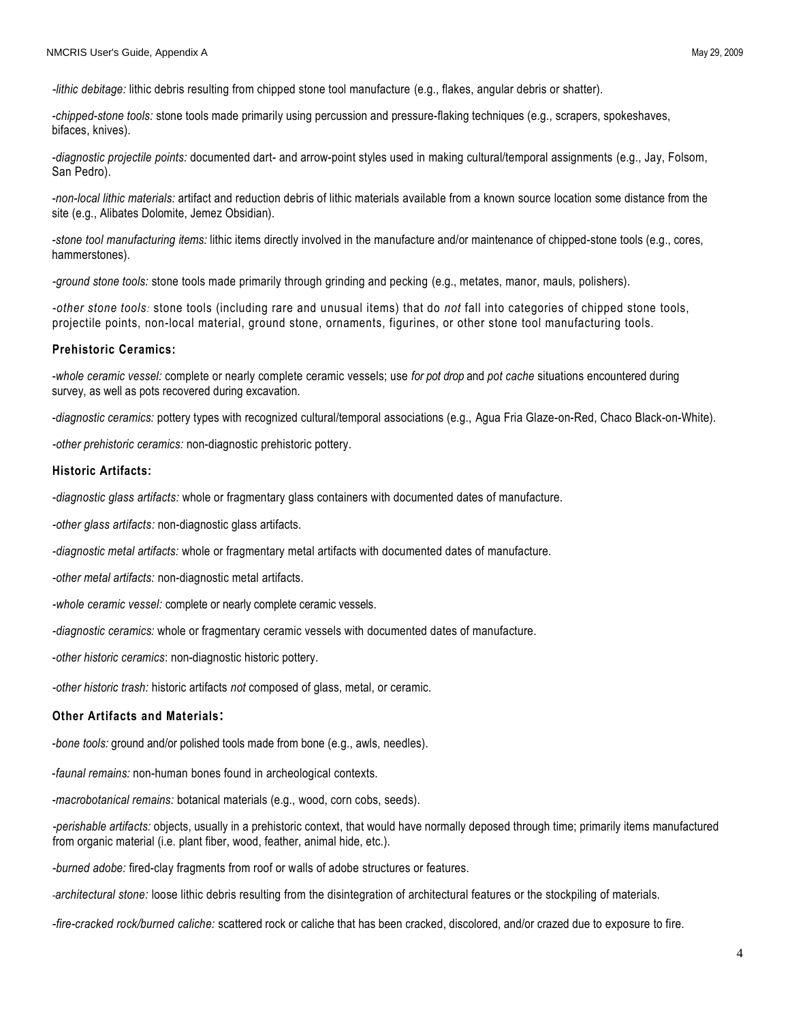*-lithic debitage:* lithic debris resulting from chipped stone tool manufacture (e.g., flakes, angular debris or shatter).

*-chipped-stone tools:* stone tools made primarily using percussion and pressure-flaking techniques (e.g., scrapers, spokeshaves, bifaces, knives).

*-diagnostic projectile points:* documented dart- and arrow-point styles used in making cultural/temporal assignments (e.g., Jay, Folsom, San Pedro).

*-non-local lithic materials:* artifact and reduction debris of lithic materials available from a known source location some distance from the site (e.g., Alibates Dolomite, Jemez Obsidian).

*-stone tool manufacturing items:* lithic items directly involved in the manufacture and/or maintenance of chipped-stone tools (e.g., cores, hammerstones).

*-ground stone tools:* stone tools made primarily through grinding and pecking (e.g., metates, manor, mauls, polishers).

*-other stone tools:* stone tools (including rare and unusual items) that do *not* fall into categories of chipped stone tools, projectile points, non-local material, ground stone, ornaments, figurines, or other stone tool manufacturing tools.

#### **Prehistoric Ceramics:**

*-whole ceramic vessel:* complete or nearly complete ceramic vessels; use *for pot drop* and *pot cache* situations encountered during survey, as well as pots recovered during excavation.

*-diagnostic ceramics:* pottery types with recognized cultural/temporal associations (e.g., Agua Fria Glaze-on-Red, Chaco Black-on-White).

*-other prehistoric ceramics:* non-diagnostic prehistoric pottery.

#### **Historic Artifacts:**

*-diagnostic glass artifacts:* whole or fragmentary glass containers with documented dates of manufacture.

*-other glass artifacts:* non-diagnostic glass artifacts.

*-diagnostic metal artifacts:* whole or fragmentary metal artifacts with documented dates of manufacture.

*-other metal artifacts:* non-diagnostic metal artifacts.

*-whole ceramic vessel:* complete or nearly complete ceramic vessels.

*-diagnostic ceramics:* whole or fragmentary ceramic vessels with documented dates of manufacture.

-*other historic ceramics*: non-diagnostic historic pottery.

*-other historic trash:* historic artifacts *not* composed of glass, metal, or ceramic.

#### **Other Artifacts and Materials:**

*-bone tools:* ground and/or polished tools made from bone (e.g., awls, needles).

-*faunal remains:* non-human bones found in archeological contexts.

*-macrobotanical remains:* botanical materials (e.g., wood, corn cobs, seeds).

 *-perishable artifacts:* objects, usually in a prehistoric context, that would have normally deposed through time; primarily items manufactured from organic material (i.e. plant fiber, wood, feather, animal hide, etc.).

*-burned adobe:* fired-clay fragments from roof or walls of adobe structures or features.

*-architectural stone:* loose lithic debris resulting from the disintegration of architectural features or the stockpiling of materials.

*-fire-cracked rock/burned caliche:* scattered rock or caliche that has been cracked, discolored, and/or crazed due to exposure to fire.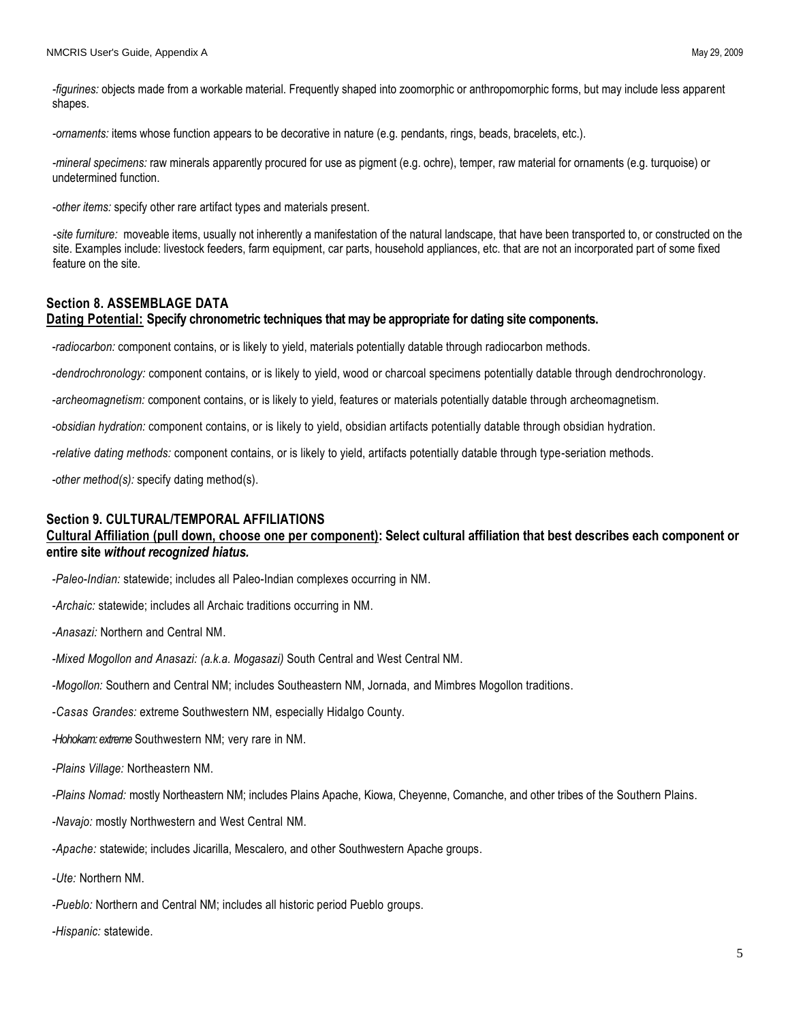*-figurines:* objects made from a workable material. Frequently shaped into zoomorphic or anthropomorphic forms, but may include less apparent shapes.

*-ornaments:* items whose function appears to be decorative in nature (e.g. pendants, rings, beads, bracelets, etc.).

*-mineral specimens:* raw minerals apparently procured for use as pigment (e.g. ochre), temper, raw material for ornaments (e.g. turquoise) or undetermined function.

*-other items:* specify other rare artifact types and materials present.

*-site furniture:* moveable items, usually not inherently a manifestation of the natural landscape, that have been transported to, or constructed on the site. Examples include: livestock feeders, farm equipment, car parts, household appliances, etc. that are not an incorporated part of some fixed feature on the site.

#### **Section 8. ASSEMBLAGE DATA**

#### **Dating Potential: Specify chronometric techniques that may be appropriate for dating site components.**

*-radiocarbon:* component contains, or is likely to yield, materials potentially datable through radiocarbon methods.

*-dendrochronology:* component contains, or is likely to yield, wood or charcoal specimens potentially datable through dendrochronology.

*-archeomagnetism:* component contains, or is likely to yield, features or materials potentially datable through archeomagnetism.

*-obsidian hydration:* component contains, or is likely to yield, obsidian artifacts potentially datable through obsidian hydration.

*-relative dating methods:* component contains, or is likely to yield, artifacts potentially datable through type-seriation methods.

*-other method(s):* specify dating method(s).

#### **Section 9. CULTURAL/TEMPORAL AFFILIATIONS**

## **Cultural Affiliation (pull down, choose one per component): Select cultural affiliation that best describes each component or entire site** *without recognized hiatus.*

*-Paleo-Indian:* statewide; includes all Paleo-Indian complexes occurring in NM.

*-Archaic:* statewide; includes all Archaic traditions occurring in NM.

*-Anasazi:* Northern and Central NM.

*-Mixed Mogollon and Anasazi: (a.k.a. Mogasazi)* South Central and West Central NM.

*-Mogollon:* Southern and Central NM; includes Southeastern NM, Jornada, and Mimbres Mogollon traditions.

*-Casas Grandes:* extreme Southwestern NM, especially Hidalgo County.

*-Hohokam:extreme* Southwestern NM; very rare in NM.

*-Plains Village:* Northeastern NM.

*-Plains Nomad:* mostly Northeastern NM; includes Plains Apache, Kiowa, Cheyenne, Comanche, and other tribes of the Southern Plains.

*-Navajo:* mostly Northwestern and West Central NM.

*-Apache:* statewide; includes Jicarilla, Mescalero, and other Southwestern Apache groups.

*-Ute:* Northern NM.

*-Pueblo:* Northern and Central NM; includes all historic period Pueblo groups.

*-Hispanic:* statewide.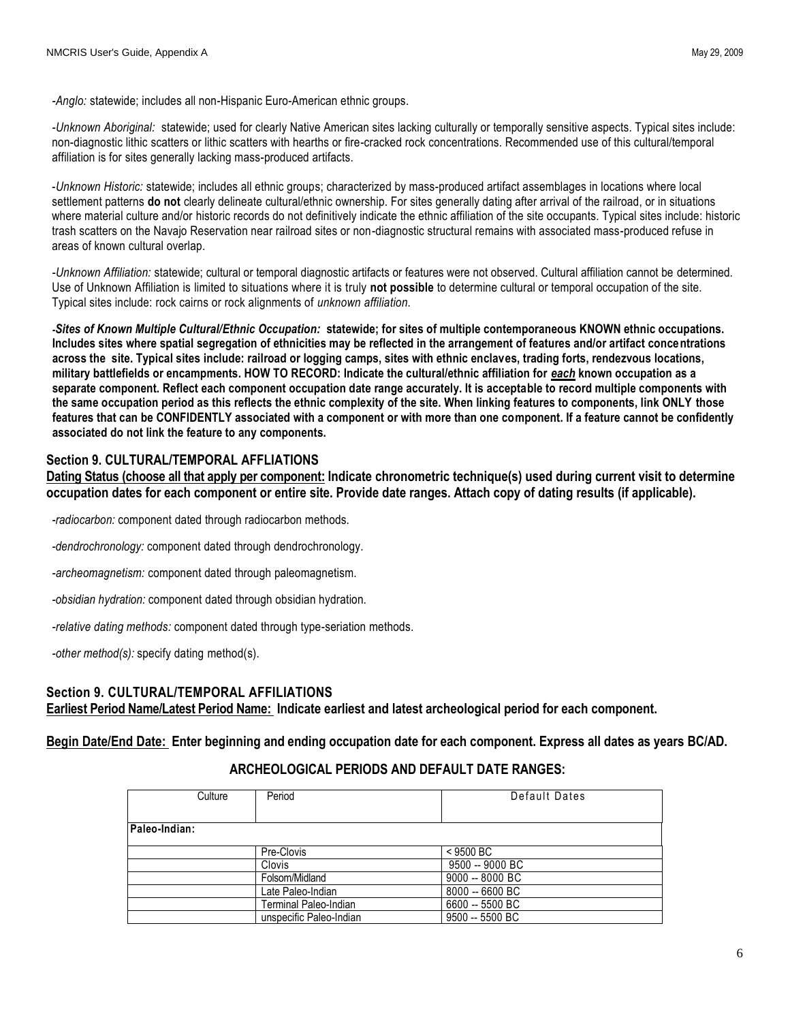*-Anglo:* statewide; includes all non-Hispanic Euro-American ethnic groups.

*-Unknown Aboriginal:* statewide; used for clearly Native American sites lacking culturally or temporally sensitive aspects. Typical sites include: non-diagnostic lithic scatters or lithic scatters with hearths or fire-cracked rock concentrations. Recommended use of this cultural/temporal affiliation is for sites generally lacking mass-produced artifacts.

-*Unknown Historic:* statewide; includes all ethnic groups; characterized by mass-produced artifact assemblages in locations where local settlement patterns **do not** clearly delineate cultural/ethnic ownership. For sites generally dating after arrival of the railroad, or in situations where material culture and/or historic records do not definitively indicate the ethnic affiliation of the site occupants. Typical sites include: historic trash scatters on the Navajo Reservation near railroad sites or non-diagnostic structural remains with associated mass-produced refuse in areas of known cultural overlap.

*-Unknown Affiliation:* statewide; cultural or temporal diagnostic artifacts or features were not observed. Cultural affiliation cannot be determined. Use of Unknown Affiliation is limited to situations where it is truly **not possible** to determine cultural or temporal occupation of the site. Typical sites include: rock cairns or rock alignments of *unknown affiliation.* 

*-Sites of Known Multiple Cultural/Ethnic Occupation:* **statewide; for sites of multiple contemporaneous KNOWN ethnic occupations. Includes sites where spatial segregation of ethnicities may be reflected in the arrangement of features and/or artifact concentrations across the site. Typical sites include: railroad or logging camps, sites with ethnic enclaves, trading forts, rendezvous locations, military battlefields or encampments. HOW TO RECORD: Indicate the cultural/ethnic affiliation for** *each* **known occupation as a separate component. Reflect each component occupation date range accurately. It is acceptable to record multiple components with the same occupation period as this reflects the ethnic complexity of the site. When linking features to components, link ONLY those features that can be CONFIDENTLY associated with a component or with more than one component. If a feature cannot be confidently associated do not link the feature to any components.** 

#### **Section 9. CULTURAL/TEMPORAL AFFLIATIONS**

**Dating Status (choose all that apply per component: Indicate chronometric technique(s) used during current visit to determine occupation dates for each component or entire site. Provide date ranges. Attach copy of dating results (if applicable).**

*-radiocarbon:* component dated through radiocarbon methods.

*-dendrochronology:* component dated through dendrochronology.

*-archeomagnetism:* component dated through paleomagnetism.

*-obsidian hydration:* component dated through obsidian hydration.

*-relative dating methods:* component dated through type-seriation methods.

*-other method(s):* specify dating method(s).

# **Section 9. CULTURAL/TEMPORAL AFFILIATIONS**

**Earliest Period Name/Latest Period Name: Indicate earliest and latest archeological period for each component.** 

**Begin Date/End Date: Enter beginning and ending occupation date for each component. Express all dates as years BC/AD.**

## **ARCHEOLOGICAL PERIODS AND DEFAULT DATE RANGES:**

| Culture       | Period                  | Default Dates   |
|---------------|-------------------------|-----------------|
|               |                         |                 |
| Paleo-Indian: |                         |                 |
|               | Pre-Clovis              | $<$ 9500 BC     |
|               | <b>Clovis</b>           | 9500 -- 9000 BC |
|               | Folsom/Midland          | 9000 -- 8000 BC |
|               | Late Paleo-Indian       | 8000 -- 6600 BC |
|               | Terminal Paleo-Indian   | 6600 -- 5500 BC |
|               | unspecific Paleo-Indian | 9500 -- 5500 BC |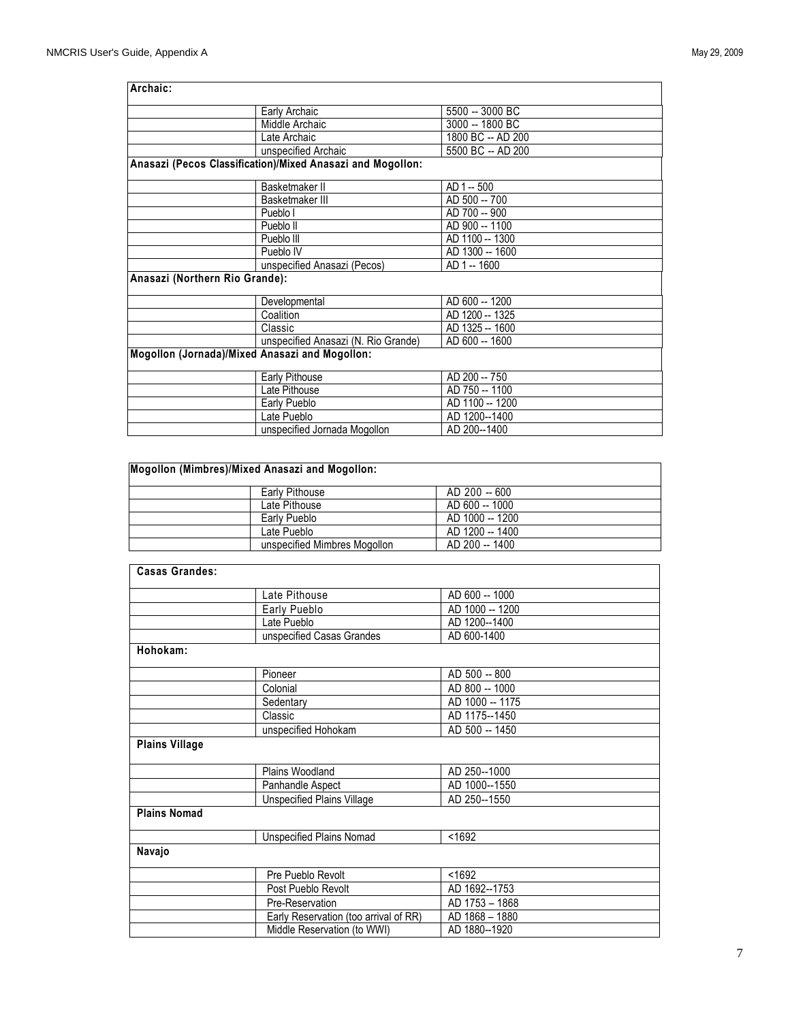| Archaic:                                       |                                                            |                   |
|------------------------------------------------|------------------------------------------------------------|-------------------|
|                                                | Early Archaic                                              | 5500 -- 3000 BC   |
|                                                | Middle Archaic                                             | 3000 -- 1800 BC   |
|                                                | Late Archaic                                               | 1800 BC -- AD 200 |
|                                                | unspecified Archaic                                        | 5500 BC -- AD 200 |
|                                                | Anasazi (Pecos Classification)/Mixed Anasazi and Mogollon: |                   |
|                                                | Basketmaker II                                             | AD 1 -- 500       |
|                                                | Basketmaker III                                            | AD 500 -- 700     |
|                                                | Pueblo I                                                   | AD 700 -- 900     |
|                                                | Pueblo II                                                  | AD 900 -- 1100    |
|                                                | Pueblo III                                                 | AD 1100 -- 1300   |
|                                                | Pueblo IV                                                  | AD 1300 -- 1600   |
|                                                | unspecified Anasazi (Pecos)                                | AD 1 -- 1600      |
| Anasazi (Northern Rio Grande):                 |                                                            |                   |
|                                                | Developmental                                              | AD 600 -- 1200    |
|                                                | Coalition                                                  | AD 1200 -- 1325   |
|                                                | Classic                                                    | AD 1325 -- 1600   |
|                                                | unspecified Anasazi (N. Rio Grande)                        | AD 600 -- 1600    |
| Mogollon (Jornada)/Mixed Anasazi and Mogollon: |                                                            |                   |
|                                                | Early Pithouse                                             | AD 200 -- 750     |
|                                                | Late Pithouse                                              | AD 750 -- 1100    |
|                                                | Early Pueblo                                               | AD 1100 -- 1200   |
|                                                | Late Pueblo                                                | AD 1200--1400     |
|                                                | unspecified Jornada Mogollon                               | AD 200--1400      |

# **Mogollon (Mimbres)/Mixed Anasazi and Mogollon:**

| <b>Early Pithouse</b>        | AD 200 -- 600   |
|------------------------------|-----------------|
| Late Pithouse                | AD 600 -- 1000  |
| Early Pueblo                 | AD 1000 -- 1200 |
| Late Pueblo                  | AD 1200 -- 1400 |
| unspecified Mimbres Mogollon | AD 200 -- 1400  |

| <b>Casas Grandes:</b> |                                       |                 |
|-----------------------|---------------------------------------|-----------------|
|                       | Late Pithouse                         | AD 600 -- 1000  |
|                       | Early Pueblo                          | AD 1000 -- 1200 |
|                       | Late Pueblo                           | AD 1200--1400   |
|                       | unspecified Casas Grandes             | AD 600-1400     |
| Hohokam:              |                                       |                 |
|                       | Pioneer                               | AD 500 -- 800   |
|                       | Colonial                              | AD 800 -- 1000  |
|                       | Sedentary                             | AD 1000 -- 1175 |
|                       | Classic                               | AD 1175--1450   |
|                       | unspecified Hohokam                   | AD 500 -- 1450  |
| <b>Plains Village</b> |                                       |                 |
|                       | Plains Woodland                       | AD 250--1000    |
|                       | Panhandle Aspect                      | AD 1000--1550   |
|                       | Unspecified Plains Village            | AD 250--1550    |
| <b>Plains Nomad</b>   |                                       |                 |
|                       | <b>Unspecified Plains Nomad</b>       | < 1692          |
| Navajo                |                                       |                 |
|                       | Pre Pueblo Revolt                     | < 1692          |
|                       | Post Pueblo Revolt                    | AD 1692--1753   |
|                       | Pre-Reservation                       | AD 1753 - 1868  |
|                       | Early Reservation (too arrival of RR) | AD 1868 - 1880  |
|                       | Middle Reservation (to WWI)           | AD 1880--1920   |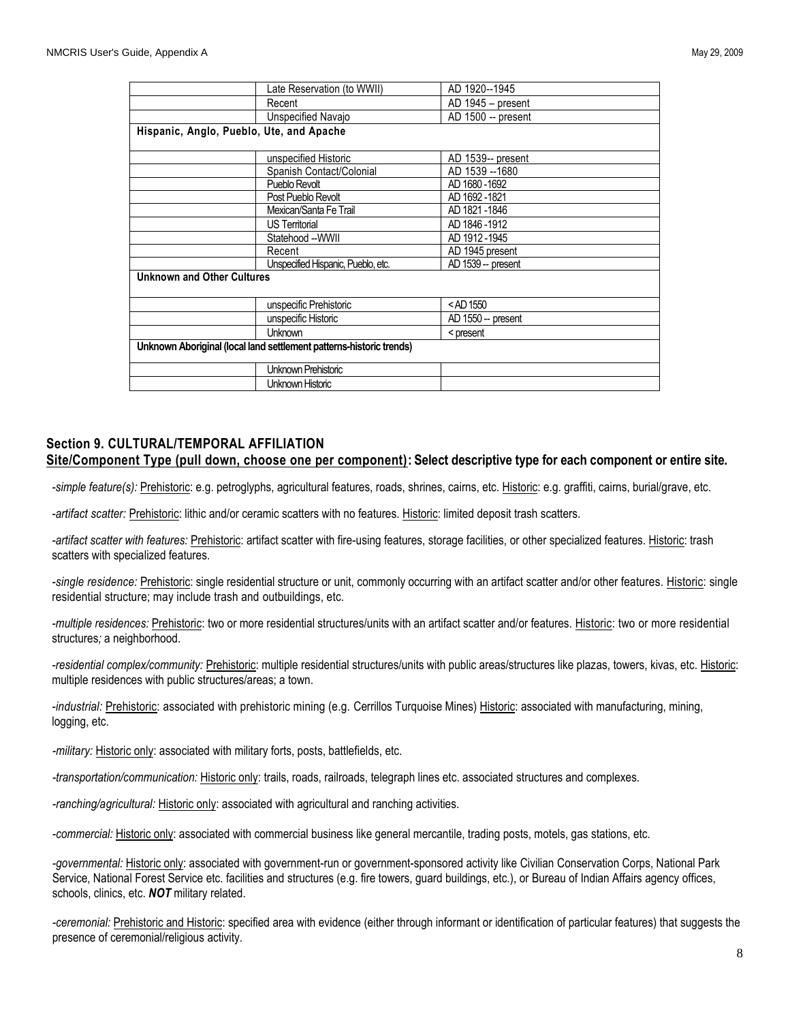|                                                                     | Late Reservation (to WWII)         | AD 1920--1945            |
|---------------------------------------------------------------------|------------------------------------|--------------------------|
|                                                                     | Recent                             | AD 1945 - present        |
|                                                                     | Unspecified Navajo                 | AD 1500 -- present       |
| Hispanic, Anglo, Pueblo, Ute, and Apache                            |                                    |                          |
|                                                                     |                                    |                          |
|                                                                     | unspecified Historic               | AD 1539-- present        |
|                                                                     | Spanish Contact/Colonial           | AD 1539 -- 1680          |
|                                                                     | Pueblo Revolt                      | AD 1680-1692             |
|                                                                     | Post Pueblo Revolt                 | AD 1692-1821             |
|                                                                     | Mexican/Santa Fe Trail             | AD 1821-1846             |
|                                                                     | <b>US Territorial</b>              | AD 1846-1912             |
|                                                                     | Statehood --WWII                   | AD 1912-1945             |
|                                                                     | Recent                             | AD 1945 present          |
|                                                                     | Unspecified Hispanic, Pueblo, etc. | AD 1539 -- present       |
| <b>Unknown and Other Cultures</b>                                   |                                    |                          |
|                                                                     |                                    |                          |
|                                                                     | unspecific Prehistoric             | <ad 1550<="" th=""></ad> |
|                                                                     | unspecific Historic                | AD 1550 -- present       |
|                                                                     | <b>Unknown</b>                     | < present                |
| Unknown Aboriginal (local land settlement patterns-historic trends) |                                    |                          |
|                                                                     | Unknown Prehistoric                |                          |
|                                                                     | Unknown Historic                   |                          |
|                                                                     |                                    |                          |

#### **Section 9. CULTURAL/TEMPORAL AFFILIATION Site/Component Type (pull down, choose one per component): Select descriptive type for each component or entire site***.*

-simple feature(s): Prehistoric: e.g. petroglyphs, agricultural features, roads, shrines, cairns, etc. Historic: e.g. graffiti, cairns, burial/grave, etc.

*-artifact scatter:* Prehistoric: lithic and/or ceramic scatters with no features. Historic: limited deposit trash scatters.

*-artifact scatter with features:* Prehistoric: artifact scatter with fire-using features, storage facilities, or other specialized features. Historic: trash scatters with specialized features.

-single residence: Prehistoric: single residential structure or unit, commonly occurring with an artifact scatter and/or other features. Historic: single residential structure; may include trash and outbuildings, etc.

*-multiple residences:* Prehistoric: two or more residential structures/units with an artifact scatter and/or features. Historic: two or more residential structures*;* a neighborhood.

*-residential complex/community:* Prehistoric: multiple residential structures/units with public areas/structures like plazas, towers, kivas, etc. Historic: multiple residences with public structures/areas; a town.

*-industrial:* Prehistoric: associated with prehistoric mining (e.g. Cerrillos Turquoise Mines) Historic: associated with manufacturing, mining, logging, etc.

*-military:* Historic only: associated with military forts, posts, battlefields, etc.

*-transportation/communication:* Historic only: trails, roads, railroads, telegraph lines etc. associated structures and complexes.

*-ranching/agricultural:* Historic only: associated with agricultural and ranching activities.

*-commercial:* Historic only: associated with commercial business like general mercantile, trading posts, motels, gas stations, etc.

*-governmental:* Historic only: associated with government-run or government-sponsored activity like Civilian Conservation Corps, National Park Service, National Forest Service etc. facilities and structures (e.g. fire towers, guard buildings, etc.), or Bureau of Indian Affairs agency offices, schools, clinics, etc. *NOT* military related.

*-ceremonial:* Prehistoric and Historic: specified area with evidence (either through informant or identification of particular features) that suggests the presence of ceremonial/religious activity.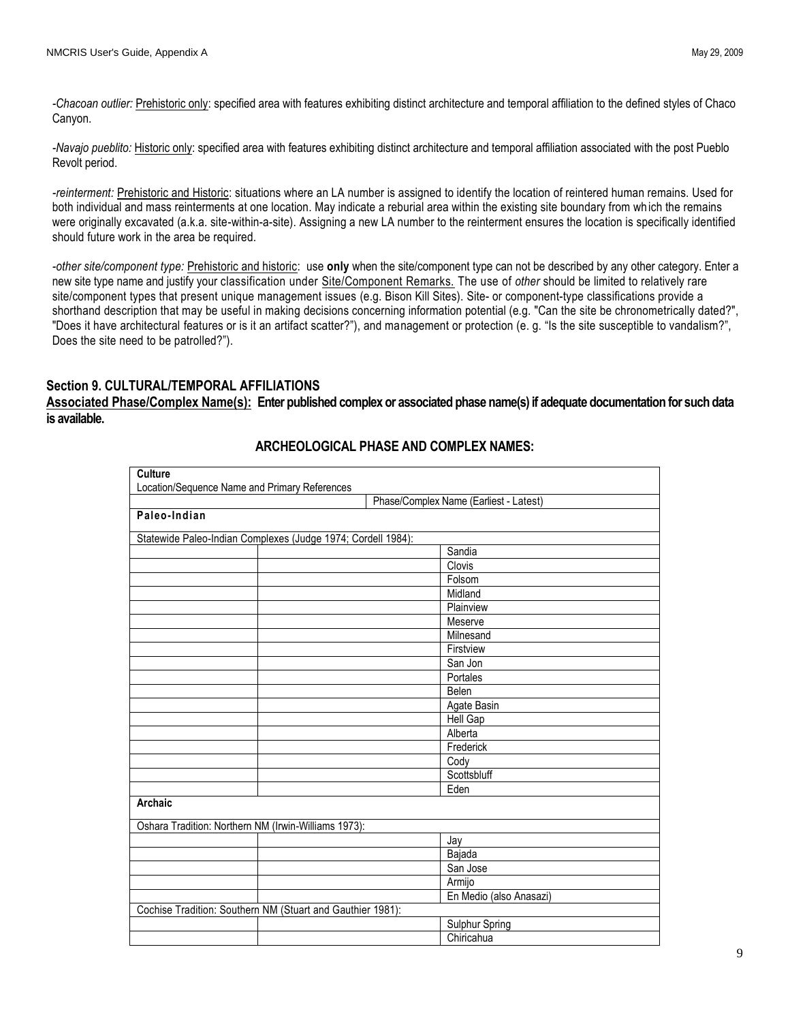*-Chacoan outlier:* Prehistoric only: specified area with features exhibiting distinct architecture and temporal affiliation to the defined styles of Chaco Canyon.

*-Navajo pueblito:* Historic only: specified area with features exhibiting distinct architecture and temporal affiliation associated with the post Pueblo Revolt period.

*-reinterment:* Prehistoric and Historic: situations where an LA number is assigned to identify the location of reintered human remains. Used for both individual and mass reinterments at one location. May indicate a reburial area within the existing site boundary from wh ich the remains were originally excavated (a.k.a. site-within-a-site). Assigning a new LA number to the reinterment ensures the location is specifically identified should future work in the area be required.

*-other site/component type:* Prehistoric and historic: use **only** when the site/component type can not be described by any other category. Enter a new site type name and justify your classification under Site/Component Remarks. The use of *other* should be limited to relatively rare site/component types that present unique management issues (e.g. Bison Kill Sites). Site- or component-type classifications provide a shorthand description that may be useful in making decisions concerning information potential (e.g. "Can the site be chronometrically dated?", "Does it have architectural features or is it an artifact scatter?"), and management or protection (e. g. "Is the site susceptible to vandalism?", Does the site need to be patrolled?").

## **Section 9. CULTURAL/TEMPORAL AFFILIATIONS**

**Associated Phase/Complex Name(s): Enter published complex or associated phase name(s) if adequate documentation for such data is available.**

| <b>Culture</b>                                               |                                        |
|--------------------------------------------------------------|----------------------------------------|
| Location/Sequence Name and Primary References                | Phase/Complex Name (Earliest - Latest) |
| Paleo-Indian                                                 |                                        |
|                                                              |                                        |
| Statewide Paleo-Indian Complexes (Judge 1974; Cordell 1984): |                                        |
|                                                              | Sandia                                 |
|                                                              | Clovis                                 |
|                                                              | Folsom                                 |
|                                                              | Midland                                |
|                                                              | Plainview                              |
|                                                              | Meserve                                |
|                                                              | Milnesand                              |
|                                                              | Firstview                              |
|                                                              | San Jon                                |
|                                                              | Portales                               |
|                                                              | Belen                                  |
|                                                              | Agate Basin                            |
|                                                              | Hell Gap                               |
|                                                              | Alberta                                |
|                                                              | Frederick                              |
|                                                              | Cody                                   |
|                                                              | Scottsbluff                            |
|                                                              | Eden                                   |
| Archaic                                                      |                                        |
| Oshara Tradition: Northern NM (Irwin-Williams 1973):         |                                        |
|                                                              | Jay                                    |
|                                                              | Bajada                                 |
|                                                              | San Jose                               |
|                                                              | Armijo                                 |
|                                                              | En Medio (also Anasazi)                |
| Cochise Tradition: Southern NM (Stuart and Gauthier 1981):   |                                        |
|                                                              | <b>Sulphur Spring</b>                  |
|                                                              | Chiricahua                             |

# **ARCHEOLOGICAL PHASE AND COMPLEX NAMES:**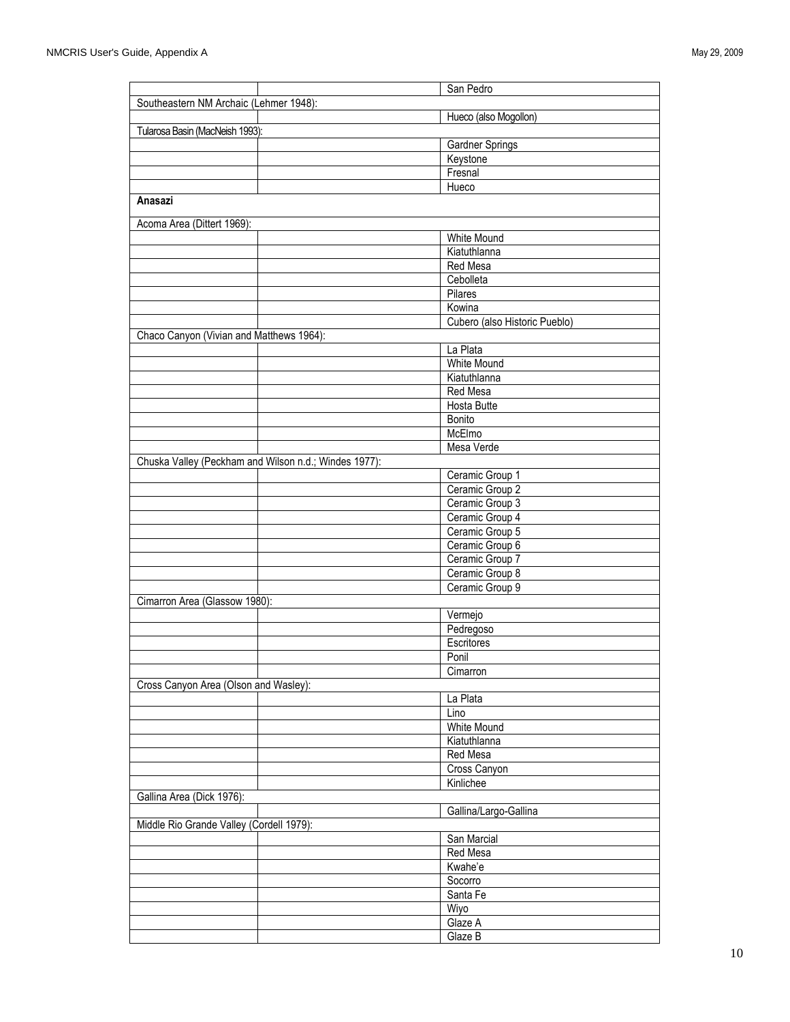|                                                       | San Pedro                     |
|-------------------------------------------------------|-------------------------------|
| Southeastern NM Archaic (Lehmer 1948):                |                               |
|                                                       | Hueco (also Mogollon)         |
| Tularosa Basin (MacNeish 1993):                       |                               |
|                                                       | Gardner Springs               |
|                                                       | Keystone                      |
|                                                       | Fresnal                       |
|                                                       | Hueco                         |
| Anasazi                                               |                               |
|                                                       |                               |
| Acoma Area (Dittert 1969):                            |                               |
|                                                       | <b>White Mound</b>            |
|                                                       | Kiatuthlanna                  |
|                                                       | Red Mesa                      |
|                                                       | Cebolleta                     |
|                                                       | Pilares                       |
|                                                       | Kowina                        |
|                                                       | Cubero (also Historic Pueblo) |
| Chaco Canyon (Vivian and Matthews 1964):              |                               |
|                                                       | La Plata                      |
|                                                       | <b>White Mound</b>            |
|                                                       | Kiatuthlanna                  |
|                                                       | Red Mesa                      |
|                                                       | Hosta Butte                   |
|                                                       | Bonito                        |
|                                                       | McElmo                        |
|                                                       | Mesa Verde                    |
| Chuska Valley (Peckham and Wilson n.d.; Windes 1977): |                               |
|                                                       | Ceramic Group 1               |
|                                                       | Ceramic Group 2               |
|                                                       | Ceramic Group 3               |
|                                                       | Ceramic Group 4               |
|                                                       | Ceramic Group 5               |
|                                                       | Ceramic Group 6               |
|                                                       | Ceramic Group 7               |
|                                                       | Ceramic Group 8               |
|                                                       | Ceramic Group 9               |
| Cimarron Area (Glassow 1980):                         |                               |
|                                                       | Vermejo                       |
|                                                       | Pedregoso                     |
|                                                       | Escritores                    |
|                                                       | Ponil                         |
|                                                       | Cimarron                      |
| Cross Canyon Area (Olson and Wasley):                 |                               |
|                                                       | La Plata                      |
|                                                       | Lino                          |
|                                                       | <b>White Mound</b>            |
|                                                       |                               |
|                                                       | Kiatuthlanna                  |
|                                                       | Red Mesa                      |
|                                                       | Cross Canyon                  |
|                                                       | Kinlichee                     |
| Gallina Area (Dick 1976):                             |                               |
|                                                       | Gallina/Largo-Gallina         |
| Middle Rio Grande Valley (Cordell 1979):              |                               |
|                                                       | San Marcial                   |
|                                                       | <b>Red Mesa</b>               |
|                                                       | Kwahe'e                       |
|                                                       | Socorro                       |
|                                                       | Santa Fe                      |
|                                                       | Wiyo                          |
|                                                       | Glaze A                       |
|                                                       | Glaze B                       |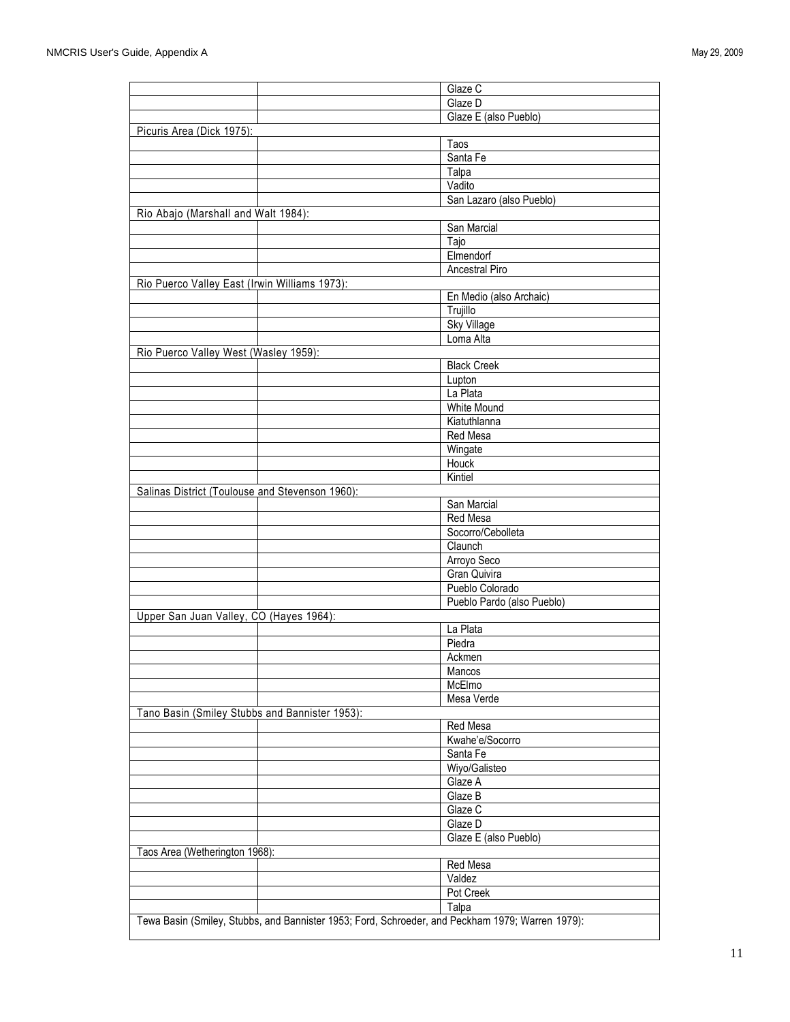|                                                                                                  | Glaze C                        |  |
|--------------------------------------------------------------------------------------------------|--------------------------------|--|
|                                                                                                  | Glaze D                        |  |
|                                                                                                  | Glaze E (also Pueblo)          |  |
| Picuris Area (Dick 1975):                                                                        |                                |  |
|                                                                                                  | Taos                           |  |
|                                                                                                  | Santa Fe                       |  |
|                                                                                                  | Talpa                          |  |
|                                                                                                  | Vadito                         |  |
|                                                                                                  | San Lazaro (also Pueblo)       |  |
| Rio Abajo (Marshall and Walt 1984):                                                              |                                |  |
|                                                                                                  | San Marcial                    |  |
|                                                                                                  | Tajo                           |  |
|                                                                                                  | Elmendorf                      |  |
|                                                                                                  | Ancestral Piro                 |  |
| Rio Puerco Valley East (Irwin Williams 1973):                                                    |                                |  |
|                                                                                                  | En Medio (also Archaic)        |  |
|                                                                                                  | Trujillo                       |  |
|                                                                                                  | <b>Sky Village</b>             |  |
|                                                                                                  | Loma Alta                      |  |
|                                                                                                  |                                |  |
| Rio Puerco Valley West (Wasley 1959):                                                            | <b>Black Creek</b>             |  |
|                                                                                                  |                                |  |
|                                                                                                  | Lupton                         |  |
|                                                                                                  | La Plata<br><b>White Mound</b> |  |
|                                                                                                  |                                |  |
|                                                                                                  | Kiatuthlanna                   |  |
|                                                                                                  | <b>Red Mesa</b>                |  |
|                                                                                                  | Wingate                        |  |
|                                                                                                  | Houck                          |  |
|                                                                                                  | Kintiel                        |  |
| Salinas District (Toulouse and Stevenson 1960):                                                  |                                |  |
|                                                                                                  | San Marcial                    |  |
|                                                                                                  | Red Mesa                       |  |
|                                                                                                  | Socorro/Cebolleta              |  |
|                                                                                                  | Claunch                        |  |
|                                                                                                  | Arroyo Seco                    |  |
|                                                                                                  | Gran Quivira                   |  |
|                                                                                                  | Pueblo Colorado                |  |
|                                                                                                  | Pueblo Pardo (also Pueblo)     |  |
| Upper San Juan Valley, CO (Hayes 1964):                                                          |                                |  |
|                                                                                                  | La Plata                       |  |
|                                                                                                  | Piedra                         |  |
|                                                                                                  | Ackmen                         |  |
|                                                                                                  | Mancos                         |  |
|                                                                                                  | McElmo                         |  |
|                                                                                                  | Mesa Verde                     |  |
| Tano Basin (Smiley Stubbs and Bannister 1953):                                                   |                                |  |
|                                                                                                  | Red Mesa                       |  |
|                                                                                                  | Kwahe'e/Socorro                |  |
|                                                                                                  | Santa Fe                       |  |
|                                                                                                  | Wiyo/Galisteo                  |  |
|                                                                                                  | Glaze A                        |  |
|                                                                                                  | Glaze B                        |  |
|                                                                                                  | Glaze C                        |  |
|                                                                                                  | Glaze D                        |  |
|                                                                                                  | Glaze E (also Pueblo)          |  |
| Taos Area (Wetherington 1968):                                                                   |                                |  |
|                                                                                                  | Red Mesa                       |  |
|                                                                                                  | Valdez                         |  |
|                                                                                                  | Pot Creek                      |  |
|                                                                                                  | Talpa                          |  |
| Tewa Basin (Smiley, Stubbs, and Bannister 1953; Ford, Schroeder, and Peckham 1979; Warren 1979): |                                |  |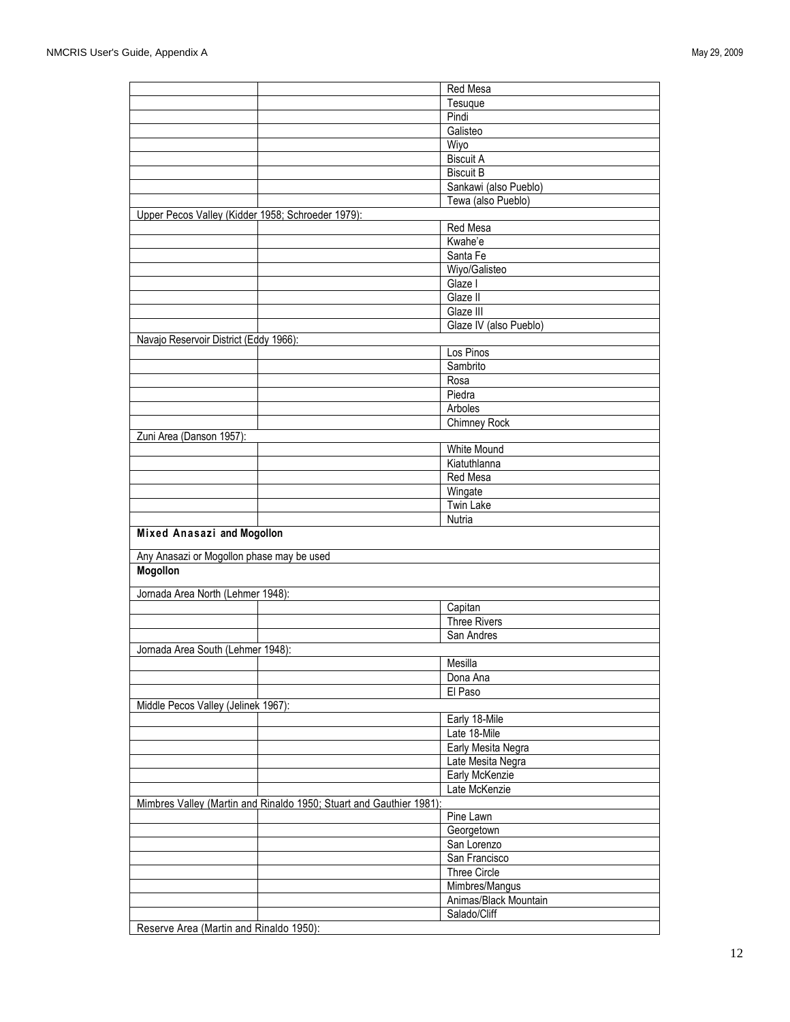|                                                   |                                                                     | Red Mesa               |
|---------------------------------------------------|---------------------------------------------------------------------|------------------------|
|                                                   |                                                                     | Tesuque                |
|                                                   |                                                                     | Pindi                  |
|                                                   |                                                                     | Galisteo               |
|                                                   |                                                                     | Wiyo                   |
|                                                   |                                                                     |                        |
|                                                   |                                                                     | <b>Biscuit A</b>       |
|                                                   |                                                                     | <b>Biscuit B</b>       |
|                                                   |                                                                     | Sankawi (also Pueblo)  |
|                                                   |                                                                     | Tewa (also Pueblo)     |
| Upper Pecos Valley (Kidder 1958; Schroeder 1979): |                                                                     |                        |
|                                                   |                                                                     | Red Mesa               |
|                                                   |                                                                     | Kwahe'e                |
|                                                   |                                                                     | Santa Fe               |
|                                                   |                                                                     | Wiyo/Galisteo          |
|                                                   |                                                                     | Glaze I                |
|                                                   |                                                                     | Glaze II               |
|                                                   |                                                                     | Glaze III              |
|                                                   |                                                                     | Glaze IV (also Pueblo) |
| Navajo Reservoir District (Eddy 1966):            |                                                                     |                        |
|                                                   |                                                                     | Los Pinos              |
|                                                   |                                                                     | Sambrito               |
|                                                   |                                                                     | Rosa                   |
|                                                   |                                                                     | Piedra                 |
|                                                   |                                                                     | Arboles                |
|                                                   |                                                                     | Chimney Rock           |
| Zuni Area (Danson 1957):                          |                                                                     |                        |
|                                                   |                                                                     | <b>White Mound</b>     |
|                                                   |                                                                     | Kiatuthlanna           |
|                                                   |                                                                     | Red Mesa               |
|                                                   |                                                                     | Wingate                |
|                                                   |                                                                     | <b>Twin Lake</b>       |
|                                                   |                                                                     |                        |
|                                                   |                                                                     | Nutria                 |
| Mixed Anasazi and Mogollon                        |                                                                     |                        |
| Any Anasazi or Mogollon phase may be used         |                                                                     |                        |
| Mogollon                                          |                                                                     |                        |
|                                                   |                                                                     |                        |
| Jornada Area North (Lehmer 1948):                 |                                                                     |                        |
|                                                   |                                                                     | Capitan                |
|                                                   |                                                                     | <b>Three Rivers</b>    |
|                                                   |                                                                     | San Andres             |
| Jornada Area South (Lehmer 1948):                 |                                                                     |                        |
|                                                   |                                                                     | Mesilla                |
|                                                   |                                                                     | Dona Ana               |
|                                                   |                                                                     | El Paso                |
| Middle Pecos Valley (Jelinek 1967):               |                                                                     |                        |
|                                                   |                                                                     |                        |
|                                                   |                                                                     |                        |
|                                                   |                                                                     | Early 18-Mile          |
|                                                   |                                                                     | Late 18-Mile           |
|                                                   |                                                                     | Early Mesita Negra     |
|                                                   |                                                                     | Late Mesita Negra      |
|                                                   |                                                                     | Early McKenzie         |
|                                                   |                                                                     | Late McKenzie          |
|                                                   | Mimbres Valley (Martin and Rinaldo 1950; Stuart and Gauthier 1981): |                        |
|                                                   |                                                                     | Pine Lawn              |
|                                                   |                                                                     | Georgetown             |
|                                                   |                                                                     | San Lorenzo            |
|                                                   |                                                                     | San Francisco          |
|                                                   |                                                                     | Three Circle           |
|                                                   |                                                                     | Mimbres/Mangus         |
|                                                   |                                                                     | Animas/Black Mountain  |
| Reserve Area (Martin and Rinaldo 1950):           |                                                                     | Salado/Cliff           |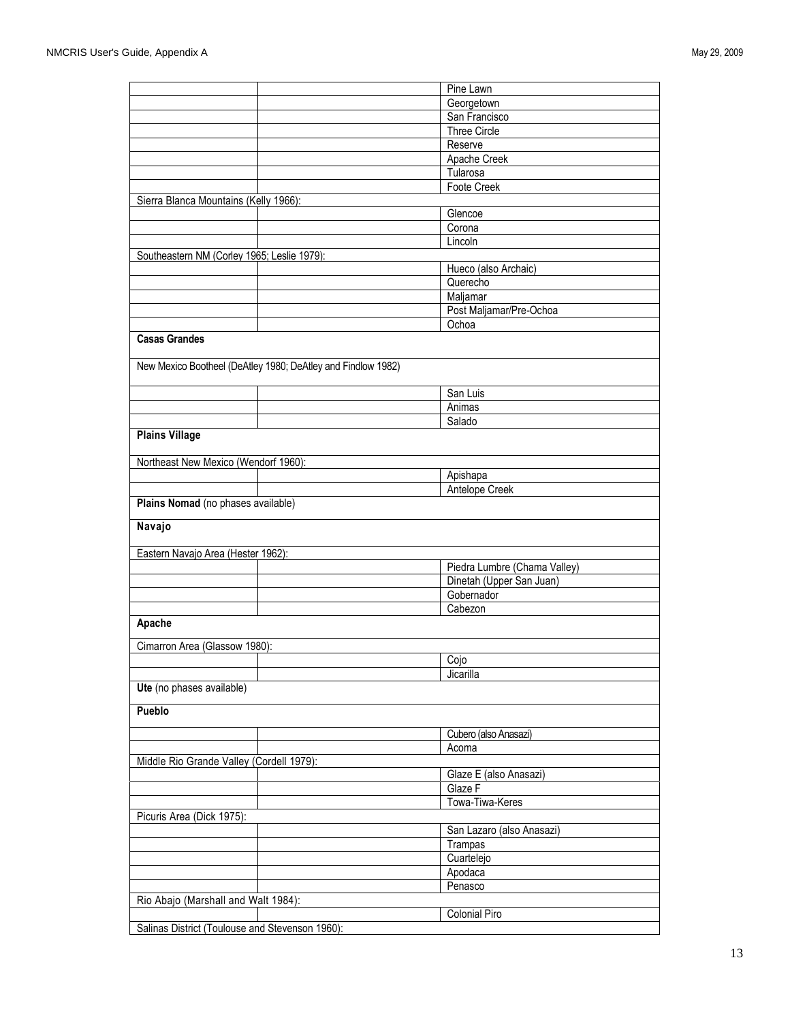|                                                              | Pine Lawn                    |
|--------------------------------------------------------------|------------------------------|
|                                                              | Georgetown                   |
|                                                              | San Francisco                |
|                                                              | Three Circle                 |
|                                                              | Reserve                      |
|                                                              | Apache Creek                 |
|                                                              | Tularosa                     |
|                                                              | Foote Creek                  |
| Sierra Blanca Mountains (Kelly 1966):                        |                              |
|                                                              | Glencoe                      |
|                                                              | Corona<br>Lincoln            |
| Southeastern NM (Corley 1965; Leslie 1979):                  |                              |
|                                                              | Hueco (also Archaic)         |
|                                                              | Querecho                     |
|                                                              | Maljamar                     |
|                                                              | Post Maljamar/Pre-Ochoa      |
|                                                              | Ochoa                        |
| <b>Casas Grandes</b>                                         |                              |
|                                                              |                              |
| New Mexico Bootheel (DeAtley 1980; DeAtley and Findlow 1982) |                              |
|                                                              |                              |
|                                                              | San Luis                     |
|                                                              | Animas                       |
|                                                              | Salado                       |
| <b>Plains Village</b>                                        |                              |
|                                                              |                              |
| Northeast New Mexico (Wendorf 1960):                         |                              |
|                                                              | Apishapa                     |
|                                                              | Antelope Creek               |
| Plains Nomad (no phases available)                           |                              |
| Navajo                                                       |                              |
|                                                              |                              |
| Eastern Navajo Area (Hester 1962):                           |                              |
|                                                              | Piedra Lumbre (Chama Valley) |
|                                                              | Dinetah (Upper San Juan)     |
|                                                              | Gobernador                   |
|                                                              | Cabezon                      |
| Apache                                                       |                              |
| Cimarron Area (Glassow 1980):                                |                              |
|                                                              | Cojo                         |
|                                                              | Jicarilla                    |
| Ute (no phases available)                                    |                              |
|                                                              |                              |
| Pueblo                                                       |                              |
|                                                              |                              |
|                                                              |                              |
|                                                              | Cubero (also Anasazi)        |
|                                                              | Acoma                        |
| Middle Rio Grande Valley (Cordell 1979):                     |                              |
|                                                              | Glaze E (also Anasazi)       |
|                                                              | Glaze F                      |
|                                                              | Towa-Tiwa-Keres              |
| Picuris Area (Dick 1975):                                    |                              |
|                                                              | San Lazaro (also Anasazi)    |
|                                                              | Trampas                      |
|                                                              | Cuartelejo                   |
|                                                              | Apodaca                      |
|                                                              | Penasco                      |
| Rio Abajo (Marshall and Walt 1984):                          | Colonial Piro                |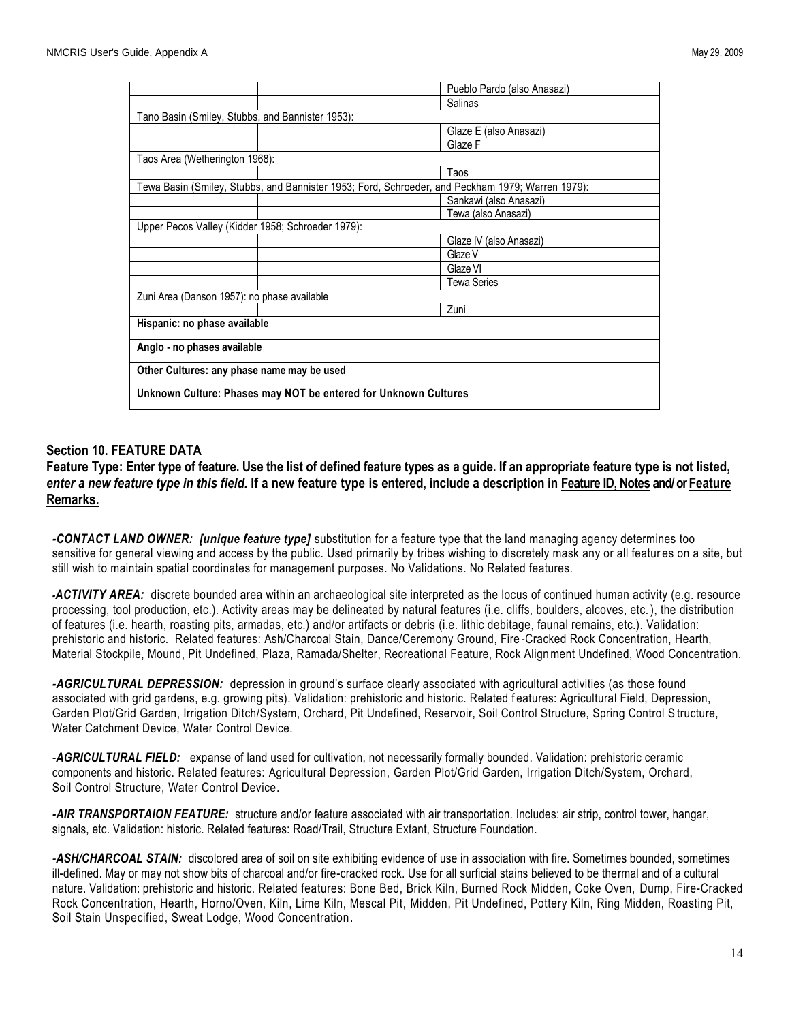|                                                                                                  | Pueblo Pardo (also Anasazi) |  |
|--------------------------------------------------------------------------------------------------|-----------------------------|--|
|                                                                                                  | Salinas                     |  |
| Tano Basin (Smiley, Stubbs, and Bannister 1953):                                                 |                             |  |
|                                                                                                  | Glaze E (also Anasazi)      |  |
|                                                                                                  | Glaze F                     |  |
| Taos Area (Wetherington 1968):                                                                   |                             |  |
|                                                                                                  | Taos                        |  |
| Tewa Basin (Smiley, Stubbs, and Bannister 1953; Ford, Schroeder, and Peckham 1979; Warren 1979): |                             |  |
|                                                                                                  | Sankawi (also Anasazi)      |  |
|                                                                                                  | Tewa (also Anasazi)         |  |
| Upper Pecos Valley (Kidder 1958; Schroeder 1979):                                                |                             |  |
|                                                                                                  | Glaze IV (also Anasazi)     |  |
|                                                                                                  | Glaze V                     |  |
|                                                                                                  | Glaze VI                    |  |
|                                                                                                  | <b>Tewa Series</b>          |  |
| Zuni Area (Danson 1957): no phase available                                                      |                             |  |
|                                                                                                  | Zuni                        |  |
| Hispanic: no phase available                                                                     |                             |  |
| Anglo - no phases available                                                                      |                             |  |
| Other Cultures: any phase name may be used                                                       |                             |  |
| Unknown Culture: Phases may NOT be entered for Unknown Cultures                                  |                             |  |

# **Section 10. FEATURE DATA**

**Feature Type: Enter type of feature. Use the list of defined feature types as a guide. If an appropriate feature type is not listed,**  *enter a new feature type in this field.* **If a new feature type is entered, include a description in Feature ID, Notes and/ or Feature Remarks.**

*-CONTACT LAND OWNER: [unique feature type]* substitution for a feature type that the land managing agency determines too sensitive for general viewing and access by the public. Used primarily by tribes wishing to discretely mask any or all featur es on a site, but still wish to maintain spatial coordinates for management purposes. No Validations. No Related features.

*-ACTIVITY AREA:* discrete bounded area within an archaeological site interpreted as the locus of continued human activity (e.g. resource processing, tool production, etc.). Activity areas may be delineated by natural features (i.e. cliffs, boulders, alcoves, etc. ), the distribution of features (i.e. hearth, roasting pits, armadas, etc.) and/or artifacts or debris (i.e. lithic debitage, faunal remains, etc.). Validation: prehistoric and historic. Related features: Ash/Charcoal Stain, Dance/Ceremony Ground, Fire -Cracked Rock Concentration, Hearth, Material Stockpile, Mound, Pit Undefined, Plaza, Ramada/Shelter, Recreational Feature, Rock Alignment Undefined, Wood Concentration.

*-AGRICULTURAL DEPRESSION:* depression in ground's surface clearly associated with agricultural activities (as those found associated with grid gardens, e.g. growing pits). Validation: prehistoric and historic. Related f eatures: Agricultural Field, Depression, Garden Plot/Grid Garden, Irrigation Ditch/System, Orchard, Pit Undefined, Reservoir, Soil Control Structure, Spring Control S tructure, Water Catchment Device, Water Control Device.

*-AGRICULTURAL FIELD:* expanse of land used for cultivation, not necessarily formally bounded. Validation: prehistoric ceramic components and historic. Related features: Agricultural Depression, Garden Plot/Grid Garden, Irrigation Ditch/System, Orchard, Soil Control Structure, Water Control Device.

*-AIR TRANSPORTAION FEATURE:* structure and/or feature associated with air transportation. Includes: air strip, control tower, hangar, signals, etc. Validation: historic. Related features: Road/Trail, Structure Extant, Structure Foundation.

*-ASH/CHARCOAL STAIN:* discolored area of soil on site exhibiting evidence of use in association with fire. Sometimes bounded, sometimes ill-defined. May or may not show bits of charcoal and/or fire-cracked rock. Use for all surficial stains believed to be thermal and of a cultural nature. Validation: prehistoric and historic. Related features: Bone Bed, Brick Kiln, Burned Rock Midden, Coke Oven, Dump, Fire-Cracked Rock Concentration, Hearth, Horno/Oven, Kiln, Lime Kiln, Mescal Pit, Midden, Pit Undefined, Pottery Kiln, Ring Midden, Roasting Pit, Soil Stain Unspecified, Sweat Lodge, Wood Concentration.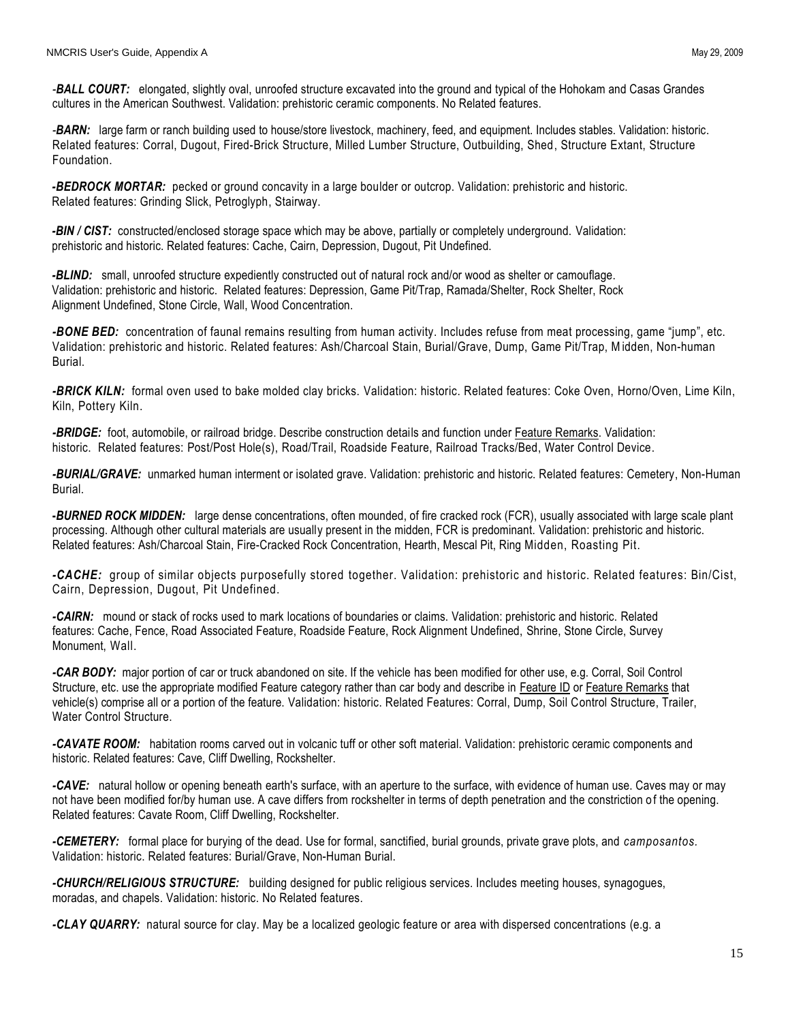*-BALL COURT:* elongated, slightly oval, unroofed structure excavated into the ground and typical of the Hohokam and Casas Grandes cultures in the American Southwest. Validation: prehistoric ceramic components. No Related features.

*-BARN:* large farm or ranch building used to house/store livestock, machinery, feed, and equipment. Includes stables. Validation: historic. Related features: Corral, Dugout, Fired-Brick Structure, Milled Lumber Structure, Outbuilding, Shed, Structure Extant, Structure Foundation.

*-BEDROCK MORTAR:* pecked or ground concavity in a large boulder or outcrop. Validation: prehistoric and historic. Related features: Grinding Slick, Petroglyph, Stairway.

*-BIN / CIST:* constructed/enclosed storage space which may be above, partially or completely underground. Validation: prehistoric and historic. Related features: Cache, Cairn, Depression, Dugout, Pit Undefined.

*-BLIND:* small, unroofed structure expediently constructed out of natural rock and/or wood as shelter or camouflage. Validation: prehistoric and historic. Related features: Depression, Game Pit/Trap, Ramada/Shelter, Rock Shelter, Rock Alignment Undefined, Stone Circle, Wall, Wood Concentration.

*-BONE BED:* concentration of faunal remains resulting from human activity. Includes refuse from meat processing, game "jump", etc. Validation: prehistoric and historic. Related features: Ash/Charcoal Stain, Burial/Grave, Dump, Game Pit/Trap, Midden, Non-human Burial.

*-BRICK KILN:* formal oven used to bake molded clay bricks. Validation: historic. Related features: Coke Oven, Horno/Oven, Lime Kiln, Kiln, Pottery Kiln.

*-BRIDGE:* foot, automobile, or railroad bridge. Describe construction details and function under Feature Remarks. Validation: historic. Related features: Post/Post Hole(s), Road/Trail, Roadside Feature, Railroad Tracks/Bed, Water Control Device.

*-BURIAL/GRAVE:* unmarked human interment or isolated grave. Validation: prehistoric and historic. Related features: Cemetery, Non-Human Burial.

**-***BURNED ROCK MIDDEN:* large dense concentrations, often mounded, of fire cracked rock (FCR), usually associated with large scale plant processing. Although other cultural materials are usually present in the midden, FCR is predominant. Validation: prehistoric and historic. Related features: Ash/Charcoal Stain, Fire-Cracked Rock Concentration, Hearth, Mescal Pit, Ring Midden, Roasting Pit.

*-CACHE:* group of similar objects purposefully stored together. Validation: prehistoric and historic. Related features: Bin/Cist, Cairn, Depression, Dugout, Pit Undefined.

*-CAIRN:* mound or stack of rocks used to mark locations of boundaries or claims. Validation: prehistoric and historic. Related features: Cache, Fence, Road Associated Feature, Roadside Feature, Rock Alignment Undefined, Shrine, Stone Circle, Survey Monument, Wall.

*-CAR BODY:* major portion of car or truck abandoned on site. If the vehicle has been modified for other use, e.g. Corral, Soil Control Structure, etc. use the appropriate modified Feature category rather than car body and describe in Feature ID or Feature Remarks that vehicle(s) comprise all or a portion of the feature. Validation: historic. Related Features: Corral, Dump, Soil Control Structure, Trailer, Water Control Structure.

*-CAVATE ROOM:* habitation rooms carved out in volcanic tuff or other soft material. Validation: prehistoric ceramic components and historic. Related features: Cave, Cliff Dwelling, Rockshelter.

*-CAVE:* natural hollow or opening beneath earth's surface, with an aperture to the surface, with evidence of human use. Caves may or may not have been modified for/by human use. A cave differs from rockshelter in terms of depth penetration and the constriction of the opening. Related features: Cavate Room, Cliff Dwelling, Rockshelter.

*-CEMETERY:* formal place for burying of the dead. Use for formal, sanctified, burial grounds, private grave plots, and *camposantos.*  Validation: historic. Related features: Burial/Grave, Non-Human Burial.

*-CHURCH/RELIGIOUS STRUCTURE:* building designed for public religious services. Includes meeting houses, synagogues, moradas, and chapels. Validation: historic. No Related features.

*-CLAY QUARRY:* natural source for clay. May be a localized geologic feature or area with dispersed concentrations (e.g. a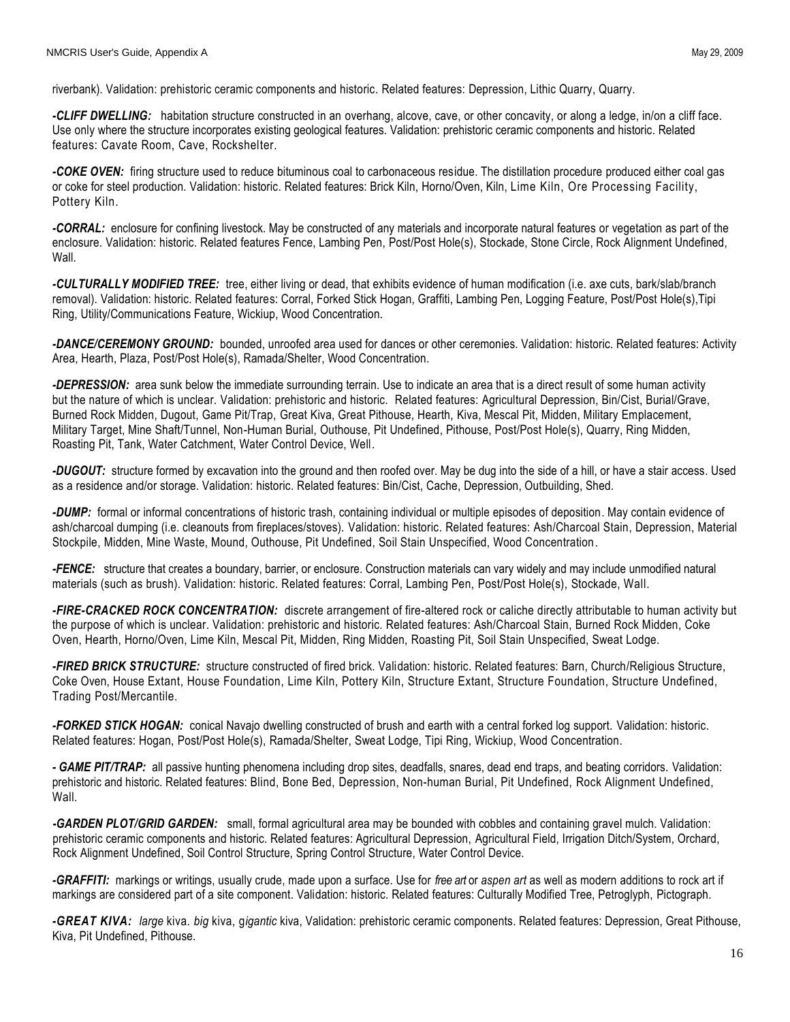riverbank). Validation: prehistoric ceramic components and historic. Related features: Depression, Lithic Quarry, Quarry.

*-CLIFF DWELLING:* habitation structure constructed in an overhang, alcove, cave, or other concavity, or along a ledge, in/on a cliff face. Use only where the structure incorporates existing geological features. Validation: prehistoric ceramic components and historic. Related features: Cavate Room, Cave, Rockshelter.

*-COKE OVEN:* firing structure used to reduce bituminous coal to carbonaceous residue. The distillation procedure produced either coal gas or coke for steel production. Validation: historic. Related features: Brick Kiln, Horno/Oven, Kiln, Lime Kiln, Ore Processing Facility, Pottery Kiln.

*-CORRAL:* enclosure for confining livestock. May be constructed of any materials and incorporate natural features or vegetation as part of the enclosure. Validation: historic. Related features Fence, Lambing Pen, Post/Post Hole(s), Stockade, Stone Circle, Rock Alignment Undefined, Wall.

*-CULTURALLY MODIFIED TREE:* tree, either living or dead, that exhibits evidence of human modification (i.e. axe cuts, bark/slab/branch removal). Validation: historic. Related features: Corral, Forked Stick Hogan, Graffiti, Lambing Pen, Logging Feature, Post/Post Hole(s),Tipi Ring, Utility/Communications Feature, Wickiup, Wood Concentration.

*-DANCE/CEREMONY GROUND:* bounded, unroofed area used for dances or other ceremonies. Validation: historic. Related features: Activity Area, Hearth, Plaza, Post/Post Hole(s), Ramada/Shelter, Wood Concentration.

*-DEPRESSION:* area sunk below the immediate surrounding terrain. Use to indicate an area that is a direct result of some human activity but the nature of which is unclear. Validation: prehistoric and historic. Related features: Agricultural Depression, Bin/Cist, Burial/Grave, Burned Rock Midden, Dugout, Game Pit/Trap, Great Kiva, Great Pithouse, Hearth, Kiva, Mescal Pit, Midden, Military Emplacement, Military Target, Mine Shaft/Tunnel, Non-Human Burial, Outhouse, Pit Undefined, Pithouse, Post/Post Hole(s), Quarry, Ring Midden, Roasting Pit, Tank, Water Catchment, Water Control Device, Well.

*-DUGOUT:* structure formed by excavation into the ground and then roofed over. May be dug into the side of a hill, or have a stair access. Used as a residence and/or storage. Validation: historic. Related features: Bin/Cist, Cache, Depression, Outbuilding, Shed.

*-DUMP:* formal or informal concentrations of historic trash, containing individual or multiple episodes of deposition. May contain evidence of ash/charcoal dumping (i.e. cleanouts from fireplaces/stoves). Validation: historic. Related features: Ash/Charcoal Stain, Depression, Material Stockpile, Midden, Mine Waste, Mound, Outhouse, Pit Undefined, Soil Stain Unspecified, Wood Concentration.

*-FENCE:* structure that creates a boundary, barrier, or enclosure. Construction materials can vary widely and may include unmodified natural materials (such as brush). Validation: historic. Related features: Corral, Lambing Pen, Post/Post Hole(s), Stockade, Wall.

*-FIRE-CRACKED ROCK CONCENTRATION:* discrete arrangement of fire-altered rock or caliche directly attributable to human activity but the purpose of which is unclear. Validation: prehistoric and historic. Related features: Ash/Charcoal Stain, Burned Rock Midden, Coke Oven, Hearth, Horno/Oven, Lime Kiln, Mescal Pit, Midden, Ring Midden, Roasting Pit, Soil Stain Unspecified, Sweat Lodge.

*-FIRED BRICK STRUCTURE:* structure constructed of fired brick. Validation: historic. Related features: Barn, Church/Religious Structure, Coke Oven, House Extant, House Foundation, Lime Kiln, Pottery Kiln, Structure Extant, Structure Foundation, Structure Undefined, Trading Post/Mercantile.

*-FORKED STICK HOGAN:* conical Navajo dwelling constructed of brush and earth with a central forked log support. Validation: historic. Related features: Hogan, Post/Post Hole(s), Ramada/Shelter, Sweat Lodge, Tipi Ring, Wickiup, Wood Concentration.

*- GAME PIT/TRAP:* all passive hunting phenomena including drop sites, deadfalls, snares, dead end traps, and beating corridors. Validation: prehistoric and historic. Related features: Blind, Bone Bed, Depression, Non-human Burial, Pit Undefined, Rock Alignment Undefined, Wall.

 *-GARDEN PLOT/GRID GARDEN:* small, formal agricultural area may be bounded with cobbles and containing gravel mulch. Validation: prehistoric ceramic components and historic. Related features: Agricultural Depression, Agricultural Field, Irrigation Ditch/System, Orchard, Rock Alignment Undefined, Soil Control Structure, Spring Control Structure, Water Control Device.

*-GRAFFITI:* markings or writings, usually crude, made upon a surface. Use for *free art* or *aspen art* as well as modern additions to rock art if markings are considered part of a site component. Validation: historic. Related features: Culturally Modified Tree, Petroglyph, Pictograph.

*-GREAT KIVA: large* kiva. *big* kiva, g*igantic* kiva, Validation: prehistoric ceramic components. Related features: Depression, Great Pithouse, Kiva, Pit Undefined, Pithouse.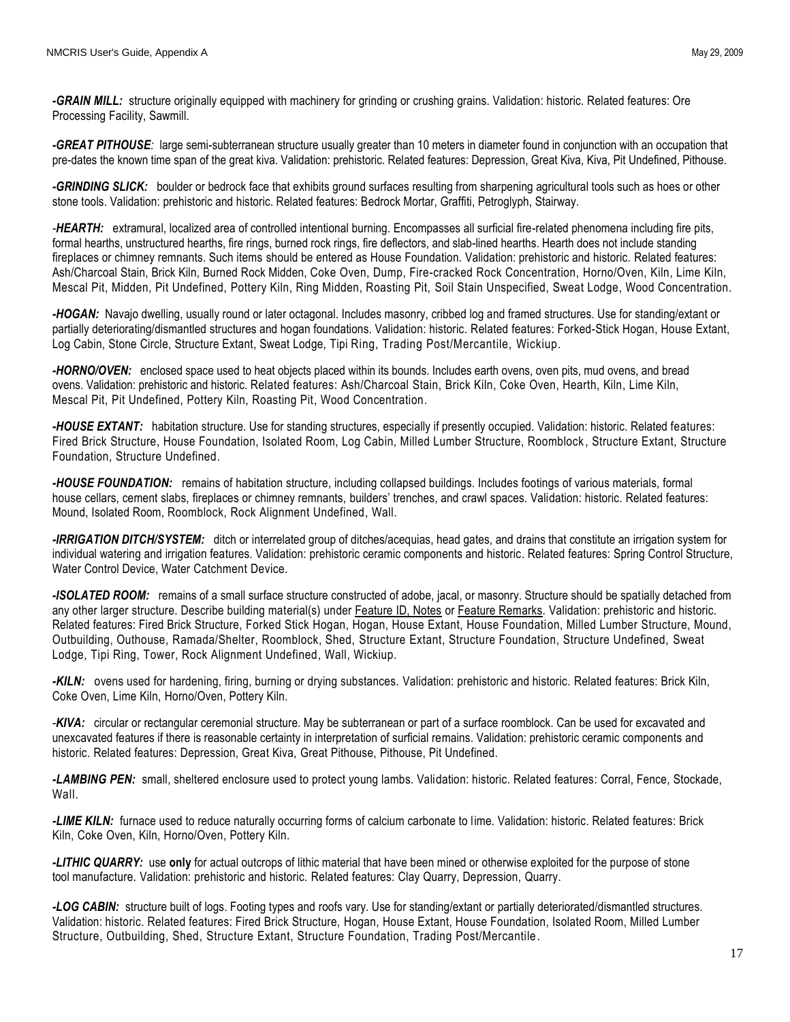*-GRAIN MILL:* structure originally equipped with machinery for grinding or crushing grains. Validation: historic. Related features: Ore Processing Facility, Sawmill.

*-GREAT PITHOUSE:* large semi-subterranean structure usually greater than 10 meters in diameter found in conjunction with an occupation that pre-dates the known time span of the great kiva. Validation: prehistoric. Related features: Depression, Great Kiva, Kiva, Pit Undefined, Pithouse.

*-GRINDING SLICK:* boulder or bedrock face that exhibits ground surfaces resulting from sharpening agricultural tools such as hoes or other stone tools. Validation: prehistoric and historic. Related features: Bedrock Mortar, Graffiti, Petroglyph, Stairway.

*-HEARTH:* extramural, localized area of controlled intentional burning. Encompasses all surficial fire-related phenomena including fire pits, formal hearths, unstructured hearths, fire rings, burned rock rings, fire deflectors, and slab-lined hearths. Hearth does not include standing fireplaces or chimney remnants. Such items should be entered as House Foundation. Validation: prehistoric and historic. Related features: Ash/Charcoal Stain, Brick Kiln, Burned Rock Midden, Coke Oven, Dump, Fire-cracked Rock Concentration, Horno/Oven, Kiln, Lime Kiln, Mescal Pit, Midden, Pit Undefined, Pottery Kiln, Ring Midden, Roasting Pit, Soil Stain Unspecified, Sweat Lodge, Wood Concentration.

*-HOGAN:* Navajo dwelling, usually round or later octagonal. Includes masonry, cribbed log and framed structures. Use for standing/extant or partially deteriorating/dismantled structures and hogan foundations. Validation: historic. Related features: Forked-Stick Hogan, House Extant, Log Cabin, Stone Circle, Structure Extant, Sweat Lodge, Tipi Ring, Trading Post/Mercantile, Wickiup.

*-HORNO/OVEN:* enclosed space used to heat objects placed within its bounds. Includes earth ovens, oven pits, mud ovens, and bread ovens. Validation: prehistoric and historic. Related features: Ash/Charcoal Stain, Brick Kiln, Coke Oven, Hearth, Kiln, Lime Kiln, Mescal Pit, Pit Undefined, Pottery Kiln, Roasting Pit, Wood Concentration.

*-HOUSE EXTANT:* habitation structure. Use for standing structures, especially if presently occupied. Validation: historic. Related features: Fired Brick Structure, House Foundation, Isolated Room, Log Cabin, Milled Lumber Structure, Roomblock , Structure Extant, Structure Foundation, Structure Undefined.

*-HOUSE FOUNDATION:* remains of habitation structure, including collapsed buildings. Includes footings of various materials, formal house cellars, cement slabs, fireplaces or chimney remnants, builders' trenches, and crawl spaces. Validation: historic. Related features: Mound, Isolated Room, Roomblock, Rock Alignment Undefined, Wall.

*-IRRIGATION DITCH/SYSTEM:* ditch or interrelated group of ditches/acequias, head gates, and drains that constitute an irrigation system for individual watering and irrigation features. Validation: prehistoric ceramic components and historic. Related features: Spring Control Structure, Water Control Device, Water Catchment Device.

*-ISOLATED ROOM:* remains of a small surface structure constructed of adobe, jacal, or masonry. Structure should be spatially detached from any other larger structure. Describe building material(s) under Feature ID, Notes or Feature Remarks. Validation: prehistoric and historic. Related features: Fired Brick Structure, Forked Stick Hogan, Hogan, House Extant, House Foundation, Milled Lumber Structure, Mound, Outbuilding, Outhouse, Ramada/Shelter, Roomblock, Shed, Structure Extant, Structure Foundation, Structure Undefined, Sweat Lodge, Tipi Ring, Tower, Rock Alignment Undefined, Wall, Wickiup.

*-KILN:* ovens used for hardening, firing, burning or drying substances. Validation: prehistoric and historic. Related features: Brick Kiln, Coke Oven, Lime Kiln, Horno/Oven, Pottery Kiln.

*-KIVA:* circular or rectangular ceremonial structure. May be subterranean or part of a surface roomblock. Can be used for excavated and unexcavated features if there is reasonable certainty in interpretation of surficial remains. Validation: prehistoric ceramic components and historic. Related features: Depression, Great Kiva, Great Pithouse, Pithouse, Pit Undefined.

*-LAMBING PEN:* small, sheltered enclosure used to protect young lambs. Validation: historic. Related features: Corral, Fence, Stockade, Wall.

*-LIME KILN:* furnace used to reduce naturally occurring forms of calcium carbonate to lime. Validation: historic. Related features: Brick Kiln, Coke Oven, Kiln, Horno/Oven, Pottery Kiln.

*-LITHIC QUARRY:* use **only** for actual outcrops of lithic material that have been mined or otherwise exploited for the purpose of stone tool manufacture. Validation: prehistoric and historic. Related features: Clay Quarry, Depression, Quarry.

*-LOG CABIN:* structure built of logs. Footing types and roofs vary. Use for standing/extant or partially deteriorated/dismantled structures. Validation: historic. Related features: Fired Brick Structure, Hogan, House Extant, House Foundation, Isolated Room, Milled Lumber Structure, Outbuilding, Shed, Structure Extant, Structure Foundation, Trading Post/Mercantile.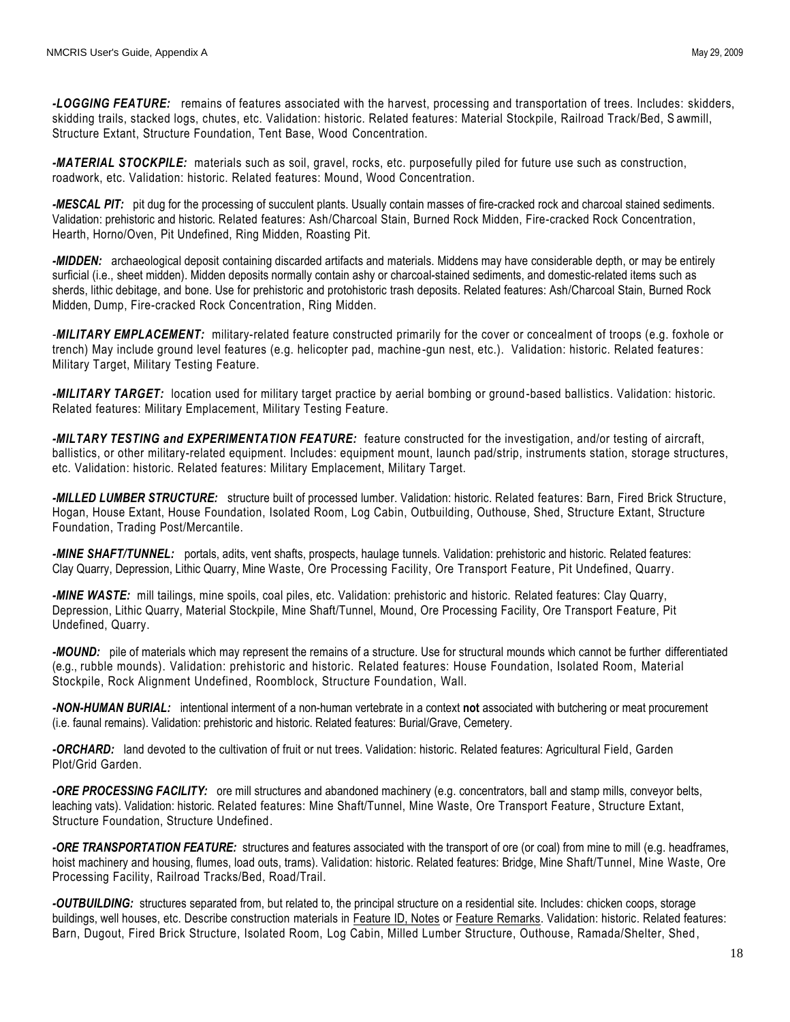*-LOGGING FEATURE:* remains of features associated with the harvest, processing and transportation of trees. Includes: skidders, skidding trails, stacked logs, chutes, etc. Validation: historic. Related features: Material Stockpile, Railroad Track/Bed, S awmill, Structure Extant, Structure Foundation, Tent Base, Wood Concentration.

*-MATERIAL STOCKPILE:* materials such as soil, gravel, rocks, etc. purposefully piled for future use such as construction, roadwork, etc. Validation: historic. Related features: Mound, Wood Concentration.

*-MESCAL PIT:* pit dug for the processing of succulent plants. Usually contain masses of fire-cracked rock and charcoal stained sediments. Validation: prehistoric and historic. Related features: Ash/Charcoal Stain, Burned Rock Midden, Fire-cracked Rock Concentration, Hearth, Horno/Oven, Pit Undefined, Ring Midden, Roasting Pit.

*-MIDDEN:* archaeological deposit containing discarded artifacts and materials. Middens may have considerable depth, or may be entirely surficial (i.e., sheet midden). Midden deposits normally contain ashy or charcoal-stained sediments, and domestic-related items such as sherds, lithic debitage, and bone. Use for prehistoric and protohistoric trash deposits. Related features: Ash/Charcoal Stain, Burned Rock Midden, Dump, Fire-cracked Rock Concentration, Ring Midden.

*-MILITARY EMPLACEMENT:* military-related feature constructed primarily for the cover or concealment of troops (e.g. foxhole or trench) May include ground level features (e.g. helicopter pad, machine-gun nest, etc.). Validation: historic. Related features: Military Target, Military Testing Feature.

*-MILITARY TARGET:* location used for military target practice by aerial bombing or ground-based ballistics. Validation: historic. Related features: Military Emplacement, Military Testing Feature.

*-MILTARY TESTING and EXPERIMENTATION FEATURE:* feature constructed for the investigation, and/or testing of aircraft, ballistics, or other military-related equipment. Includes: equipment mount, launch pad/strip, instruments station, storage structures, etc. Validation: historic. Related features: Military Emplacement, Military Target.

*-MILLED LUMBER STRUCTURE:* structure built of processed lumber. Validation: historic. Related features: Barn, Fired Brick Structure, Hogan, House Extant, House Foundation, Isolated Room, Log Cabin, Outbuilding, Outhouse, Shed, Structure Extant, Structure Foundation, Trading Post/Mercantile.

*-MINE SHAFT/TUNNEL:* portals, adits, vent shafts, prospects, haulage tunnels. Validation: prehistoric and historic. Related features: Clay Quarry, Depression, Lithic Quarry, Mine Waste, Ore Processing Facility, Ore Transport Feature, Pit Undefined, Quarry.

*-MINE WASTE:* mill tailings, mine spoils, coal piles, etc. Validation: prehistoric and historic. Related features: Clay Quarry, Depression, Lithic Quarry, Material Stockpile, Mine Shaft/Tunnel, Mound, Ore Processing Facility, Ore Transport Feature, Pit Undefined, Quarry.

*-MOUND:* pile of materials which may represent the remains of a structure. Use for structural mounds which cannot be further differentiated (e.g., rubble mounds). Validation: prehistoric and historic. Related features: House Foundation, Isolated Room, Material Stockpile, Rock Alignment Undefined, Roomblock, Structure Foundation, Wall.

*-NON-HUMAN BURIAL:* intentional interment of a non-human vertebrate in a context **not** associated with butchering or meat procurement (i.e. faunal remains). Validation: prehistoric and historic. Related features: Burial/Grave, Cemetery.

*-ORCHARD:* land devoted to the cultivation of fruit or nut trees. Validation: historic. Related features: Agricultural Field, Garden Plot/Grid Garden.

*-ORE PROCESSING FACILITY:* ore mill structures and abandoned machinery (e.g. concentrators, ball and stamp mills, conveyor belts, leaching vats). Validation: historic. Related features: Mine Shaft/Tunnel, Mine Waste, Ore Transport Feature, Structure Extant, Structure Foundation, Structure Undefined.

*-ORE TRANSPORTATION FEATURE:* structures and features associated with the transport of ore (or coal) from mine to mill (e.g. headframes, hoist machinery and housing, flumes, load outs, trams). Validation: historic. Related features: Bridge, Mine Shaft/Tunnel, Mine Waste, Ore Processing Facility, Railroad Tracks/Bed, Road/Trail.

*-OUTBUILDING:* structures separated from, but related to, the principal structure on a residential site. Includes: chicken coops, storage buildings, well houses, etc. Describe construction materials in Feature ID, Notes or Feature Remarks. Validation: historic. Related features: Barn, Dugout, Fired Brick Structure, Isolated Room, Log Cabin, Milled Lumber Structure, Outhouse, Ramada/Shelter, Shed,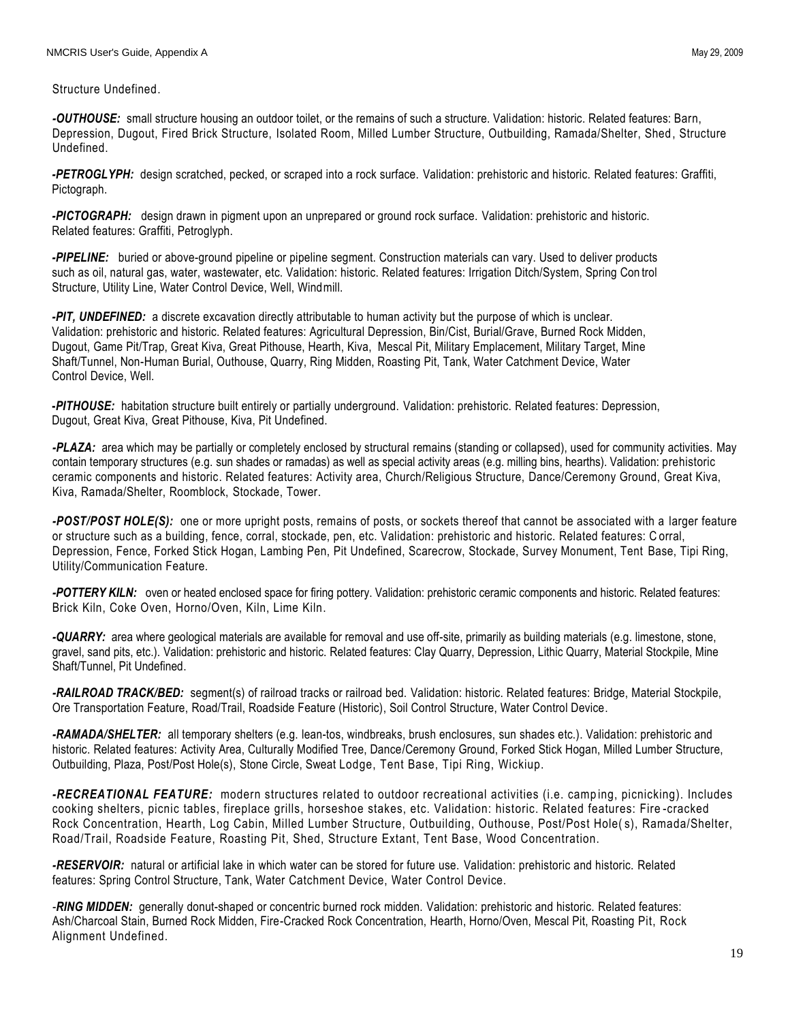Structure Undefined.

*-OUTHOUSE:* small structure housing an outdoor toilet, or the remains of such a structure. Validation: historic. Related features: Barn, Depression, Dugout, Fired Brick Structure, Isolated Room, Milled Lumber Structure, Outbuilding, Ramada/Shelter, Shed , Structure Undefined.

*-PETROGLYPH:* design scratched, pecked, or scraped into a rock surface. Validation: prehistoric and historic. Related features: Graffiti, Pictograph.

*-PICTOGRAPH:* design drawn in pigment upon an unprepared or ground rock surface. Validation: prehistoric and historic. Related features: Graffiti, Petroglyph.

*-PIPELINE:* buried or above-ground pipeline or pipeline segment. Construction materials can vary. Used to deliver products such as oil, natural gas, water, wastewater, etc. Validation: historic. Related features: Irrigation Ditch/System, Spring Con trol Structure, Utility Line, Water Control Device, Well, Windmill.

*-PIT, UNDEFINED:* a discrete excavation directly attributable to human activity but the purpose of which is unclear. Validation: prehistoric and historic. Related features: Agricultural Depression, Bin/Cist, Burial/Grave, Burned Rock Midden, Dugout, Game Pit/Trap, Great Kiva, Great Pithouse, Hearth, Kiva, Mescal Pit, Military Emplacement, Military Target, Mine Shaft/Tunnel, Non-Human Burial, Outhouse, Quarry, Ring Midden, Roasting Pit, Tank, Water Catchment Device, Water Control Device, Well.

**-***PITHOUSE:* habitation structure built entirely or partially underground. Validation: prehistoric. Related features: Depression, Dugout, Great Kiva, Great Pithouse, Kiva, Pit Undefined.

*-PLAZA:* area which may be partially or completely enclosed by structural remains (standing or collapsed), used for community activities. May contain temporary structures (e.g. sun shades or ramadas) as well as special activity areas (e.g. milling bins, hearths). Validation: prehistoric ceramic components and historic. Related features: Activity area, Church/Religious Structure, Dance/Ceremony Ground, Great Kiva, Kiva, Ramada/Shelter, Roomblock, Stockade, Tower.

*-POST/POST HOLE(S):* one or more upright posts, remains of posts, or sockets thereof that cannot be associated with a larger feature or structure such as a building, fence, corral, stockade, pen, etc. Validation: prehistoric and historic. Related features: C orral, Depression, Fence, Forked Stick Hogan, Lambing Pen, Pit Undefined, Scarecrow, Stockade, Survey Monument, Tent Base, Tipi Ring, Utility/Communication Feature.

*-POTTERY KILN:* oven or heated enclosed space for firing pottery. Validation: prehistoric ceramic components and historic. Related features: Brick Kiln, Coke Oven, Horno/Oven, Kiln, Lime Kiln.

*-QUARRY:* area where geological materials are available for removal and use off-site, primarily as building materials (e.g. limestone, stone, gravel, sand pits, etc.). Validation: prehistoric and historic. Related features: Clay Quarry, Depression, Lithic Quarry, Material Stockpile, Mine Shaft/Tunnel, Pit Undefined.

*-RAILROAD TRACK/BED:* segment(s) of railroad tracks or railroad bed. Validation: historic. Related features: Bridge, Material Stockpile, Ore Transportation Feature, Road/Trail, Roadside Feature (Historic), Soil Control Structure, Water Control Device.

*-RAMADA/SHELTER:* all temporary shelters (e.g. lean-tos, windbreaks, brush enclosures, sun shades etc.). Validation: prehistoric and historic. Related features: Activity Area, Culturally Modified Tree, Dance/Ceremony Ground, Forked Stick Hogan, Milled Lumber Structure, Outbuilding, Plaza, Post/Post Hole(s), Stone Circle, Sweat Lodge, Tent Base, Tipi Ring, Wickiup.

*-RECREATIONAL FEATURE:* modern structures related to outdoor recreational activities (i.e. camp ing, picnicking). Includes cooking shelters, picnic tables, fireplace grills, horseshoe stakes, etc. Validation: historic. Related features: Fire -cracked Rock Concentration, Hearth, Log Cabin, Milled Lumber Structure, Outbuilding, Outhouse, Post/Post Hole( s), Ramada/Shelter, Road/Trail, Roadside Feature, Roasting Pit, Shed, Structure Extant, Tent Base, Wood Concentration.

*-RESERVOIR:* natural or artificial lake in which water can be stored for future use. Validation: prehistoric and historic. Related features: Spring Control Structure, Tank, Water Catchment Device, Water Control Device.

*-RING MIDDEN:* generally donut-shaped or concentric burned rock midden. Validation: prehistoric and historic. Related features: Ash/Charcoal Stain, Burned Rock Midden, Fire-Cracked Rock Concentration, Hearth, Horno/Oven, Mescal Pit, Roasting Pit, Rock Alignment Undefined.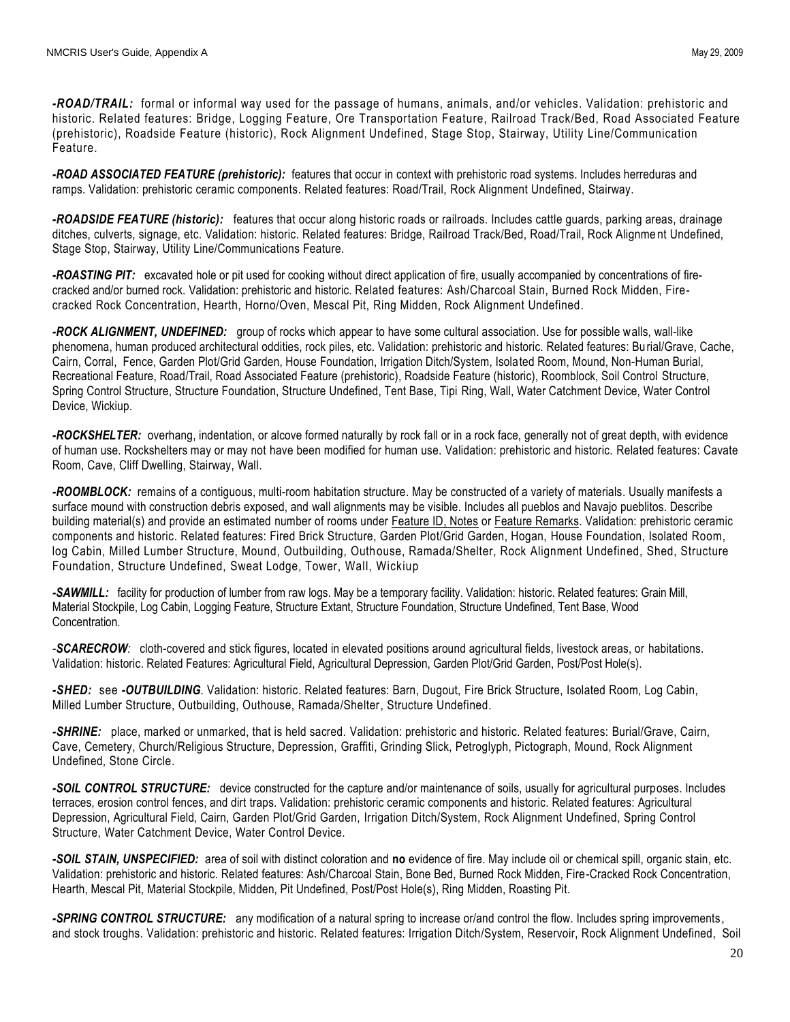*-ROAD/TRAIL:* formal or informal way used for the passage of humans, animals, and/or vehicles. Validation: prehistoric and historic. Related features: Bridge, Logging Feature, Ore Transportation Feature, Railroad Track/Bed, Road Associated Feature (prehistoric), Roadside Feature (historic), Rock Alignment Undefined, Stage Stop, Stairway, Utility Line/Communication Feature.

*-ROAD ASSOCIATED FEATURE (prehistoric):* features that occur in context with prehistoric road systems. Includes herreduras and ramps. Validation: prehistoric ceramic components. Related features: Road/Trail, Rock Alignment Undefined, Stairway.

*-ROADSIDE FEATURE (historic):* features that occur along historic roads or railroads. Includes cattle guards, parking areas, drainage ditches, culverts, signage, etc. Validation: historic. Related features: Bridge, Railroad Track/Bed, Road/Trail, Rock Alignme nt Undefined, Stage Stop, Stairway, Utility Line/Communications Feature.

*-ROASTING PIT:* excavated hole or pit used for cooking without direct application of fire, usually accompanied by concentrations of firecracked and/or burned rock. Validation: prehistoric and historic. Related features: Ash/Charcoal Stain, Burned Rock Midden, Firecracked Rock Concentration, Hearth, Horno/Oven, Mescal Pit, Ring Midden, Rock Alignment Undefined.

*-ROCK ALIGNMENT, UNDEFINED:* group of rocks which appear to have some cultural association. Use for possible walls, wall-like phenomena, human produced architectural oddities, rock piles, etc. Validation: prehistoric and historic. Related features: Burial/Grave, Cache, Cairn, Corral, Fence, Garden Plot/Grid Garden, House Foundation, Irrigation Ditch/System, Isolated Room, Mound, Non-Human Burial, Recreational Feature, Road/Trail, Road Associated Feature (prehistoric), Roadside Feature (historic), Roomblock, Soil Control Structure, Spring Control Structure, Structure Foundation, Structure Undefined, Tent Base, Tipi Ring, Wall, Water Catchment Device, Water Control Device, Wickiup.

*-ROCKSHELTER:* overhang, indentation, or alcove formed naturally by rock fall or in a rock face, generally not of great depth, with evidence of human use. Rockshelters may or may not have been modified for human use. Validation: prehistoric and historic. Related features: Cavate Room, Cave, Cliff Dwelling, Stairway, Wall.

*-ROOMBLOCK:* remains of a contiguous, multi-room habitation structure. May be constructed of a variety of materials. Usually manifests a surface mound with construction debris exposed, and wall alignments may be visible. Includes all pueblos and Navajo pueblitos. Describe building material(s) and provide an estimated number of rooms under Feature ID, Notes or Feature Remarks. Validation: prehistoric ceramic components and historic. Related features: Fired Brick Structure, Garden Plot/Grid Garden, Hogan, House Foundation, Isolated Room, log Cabin, Milled Lumber Structure, Mound, Outbuilding, Outhouse, Ramada/Shelter, Rock Alignment Undefined, Shed, Structure Foundation, Structure Undefined, Sweat Lodge, Tower, Wall, Wickiup

*-SAWMILL:* facility for production of lumber from raw logs. May be a temporary facility. Validation: historic. Related features: Grain Mill, Material Stockpile, Log Cabin, Logging Feature, Structure Extant, Structure Foundation, Structure Undefined, Tent Base, Wood Concentration*.*

*-SCARECROW:* cloth-covered and stick figures, located in elevated positions around agricultural fields, livestock areas, or habitations. Validation: historic. Related Features: Agricultural Field, Agricultural Depression, Garden Plot/Grid Garden, Post/Post Hole(s).

*-SHED:* see *-OUTBUILDING.* Validation: historic. Related features: Barn, Dugout, Fire Brick Structure, Isolated Room, Log Cabin, Milled Lumber Structure, Outbuilding, Outhouse, Ramada/Shelter, Structure Undefined.

*-SHRINE:* place, marked or unmarked, that is held sacred. Validation: prehistoric and historic. Related features: Burial/Grave, Cairn, Cave, Cemetery, Church/Religious Structure, Depression, Graffiti, Grinding Slick, Petroglyph, Pictograph, Mound, Rock Alignment Undefined, Stone Circle.

*-SOIL CONTROL STRUCTURE:* device constructed for the capture and/or maintenance of soils, usually for agricultural purposes. Includes terraces, erosion control fences, and dirt traps. Validation: prehistoric ceramic components and historic. Related features: Agricultural Depression, Agricultural Field, Cairn, Garden Plot/Grid Garden, Irrigation Ditch/System, Rock Alignment Undefined, Spring Control Structure, Water Catchment Device, Water Control Device.

*-SOIL STAIN, UNSPECIFIED:* area of soil with distinct coloration and **no** evidence of fire. May include oil or chemical spill, organic stain, etc. Validation: prehistoric and historic. Related features: Ash/Charcoal Stain, Bone Bed, Burned Rock Midden, Fire-Cracked Rock Concentration, Hearth, Mescal Pit, Material Stockpile, Midden, Pit Undefined, Post/Post Hole(s), Ring Midden, Roasting Pit.

*-SPRING CONTROL STRUCTURE:* any modification of a natural spring to increase or/and control the flow. Includes spring improvements, and stock troughs. Validation: prehistoric and historic. Related features: Irrigation Ditch/System, Reservoir, Rock Alignment Undefined, Soil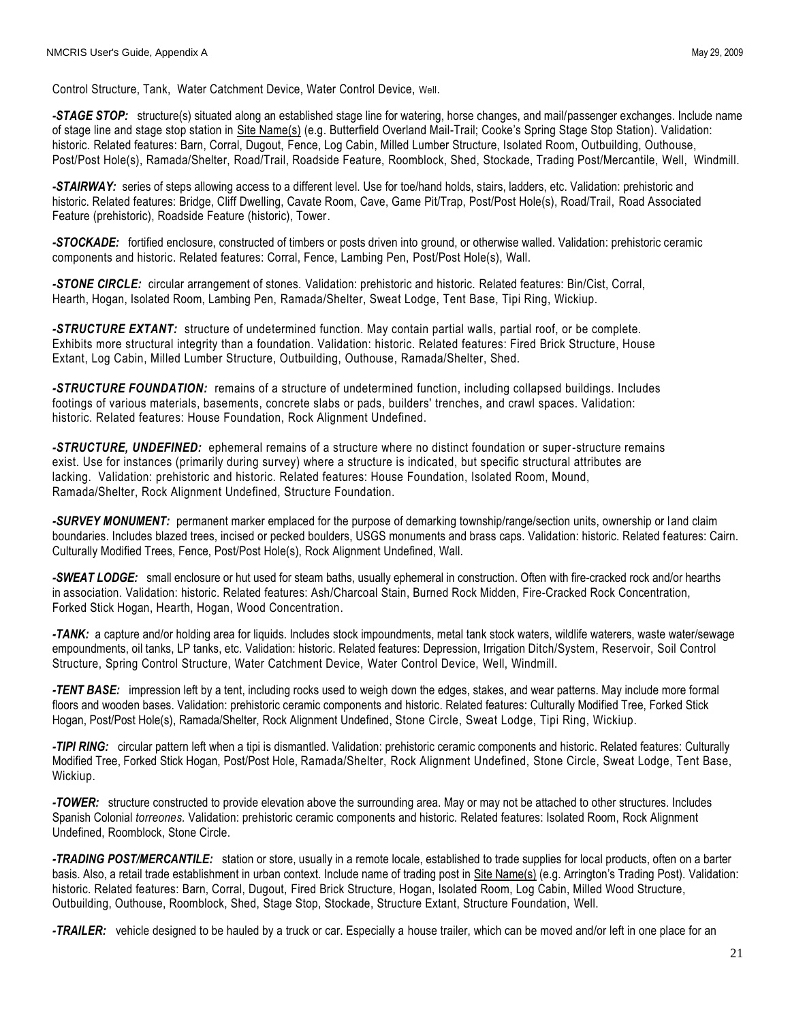Control Structure, Tank, Water Catchment Device, Water Control Device, Well.

*-STAGE STOP:* structure(s) situated along an established stage line for watering, horse changes, and mail/passenger exchanges. Include name of stage line and stage stop station in Site Name(s) (e.g. Butterfield Overland Mail-Trail; Cooke's Spring Stage Stop Station). Validation: historic. Related features: Barn, Corral, Dugout, Fence, Log Cabin, Milled Lumber Structure, Isolated Room, Outbuilding, Outhouse, Post/Post Hole(s), Ramada/Shelter, Road/Trail, Roadside Feature, Roomblock, Shed, Stockade, Trading Post/Mercantile, Well, Windmill.

*-STAIRWAY:* series of steps allowing access to a different level. Use for toe/hand holds, stairs, ladders, etc. Validation: prehistoric and historic. Related features: Bridge, Cliff Dwelling, Cavate Room, Cave, Game Pit/Trap, Post/Post Hole(s), Road/Trail, Road Associated Feature (prehistoric), Roadside Feature (historic), Tower.

*-STOCKADE:* fortified enclosure, constructed of timbers or posts driven into ground, or otherwise walled. Validation: prehistoric ceramic components and historic. Related features: Corral, Fence, Lambing Pen, Post/Post Hole(s), Wall.

*-STONE CIRCLE:* circular arrangement of stones. Validation: prehistoric and historic. Related features: Bin/Cist, Corral, Hearth, Hogan, Isolated Room, Lambing Pen, Ramada/Shelter, Sweat Lodge, Tent Base, Tipi Ring, Wickiup.

*-STRUCTURE EXTANT:* structure of undetermined function. May contain partial walls, partial roof, or be complete. Exhibits more structural integrity than a foundation. Validation: historic. Related features: Fired Brick Structure, House Extant, Log Cabin, Milled Lumber Structure, Outbuilding, Outhouse, Ramada/Shelter, Shed.

*-STRUCTURE FOUNDATION:* remains of a structure of undetermined function, including collapsed buildings. Includes footings of various materials, basements, concrete slabs or pads, builders' trenches, and crawl spaces. Validation: historic. Related features: House Foundation, Rock Alignment Undefined.

*-STRUCTURE, UNDEFINED:* ephemeral remains of a structure where no distinct foundation or super-structure remains exist. Use for instances (primarily during survey) where a structure is indicated, but specific structural attributes are lacking. Validation: prehistoric and historic. Related features: House Foundation, Isolated Room, Mound, Ramada/Shelter, Rock Alignment Undefined, Structure Foundation.

*-SURVEY MONUMENT:* permanent marker emplaced for the purpose of demarking township/range/section units, ownership or land claim boundaries. Includes blazed trees, incised or pecked boulders, USGS monuments and brass caps. Validation: historic. Related features: Cairn. Culturally Modified Trees, Fence, Post/Post Hole(s), Rock Alignment Undefined, Wall.

*-SWEAT LODGE:* small enclosure or hut used for steam baths, usually ephemeral in construction. Often with fire-cracked rock and/or hearths in association. Validation: historic. Related features: Ash/Charcoal Stain, Burned Rock Midden, Fire-Cracked Rock Concentration, Forked Stick Hogan, Hearth, Hogan, Wood Concentration.

*-TANK:* a capture and/or holding area for liquids. Includes stock impoundments, metal tank stock waters, wildlife waterers, waste water/sewage empoundments, oil tanks, LP tanks, etc. Validation: historic. Related features: Depression, Irrigation Ditch/System, Reservoir, Soil Control Structure, Spring Control Structure, Water Catchment Device, Water Control Device, Well, Windmill.

*-TENT BASE:* impression left by a tent, including rocks used to weigh down the edges, stakes, and wear patterns. May include more formal floors and wooden bases. Validation: prehistoric ceramic components and historic. Related features: Culturally Modified Tree, Forked Stick Hogan, Post/Post Hole(s), Ramada/Shelter, Rock Alignment Undefined, Stone Circle, Sweat Lodge, Tipi Ring, Wickiup.

*-TIPI RING:* circular pattern left when a tipi is dismantled. Validation: prehistoric ceramic components and historic. Related features: Culturally Modified Tree, Forked Stick Hogan, Post/Post Hole, Ramada/Shelter, Rock Alignment Undefined, Stone Circle, Sweat Lodge, Tent Base, Wickiup.

*-TOWER:* structure constructed to provide elevation above the surrounding area. May or may not be attached to other structures. Includes Spanish Colonial *torreones.* Validation: prehistoric ceramic components and historic. Related features: Isolated Room, Rock Alignment Undefined, Roomblock, Stone Circle.

*-TRADING POST/MERCANTILE:* station or store, usually in a remote locale, established to trade supplies for local products, often on a barter basis. Also, a retail trade establishment in urban context. Include name of trading post in Site Name(s) (e.g. Arrington's Trading Post). Validation: historic. Related features: Barn, Corral, Dugout, Fired Brick Structure, Hogan, Isolated Room, Log Cabin, Milled Wood Structure, Outbuilding, Outhouse, Roomblock, Shed, Stage Stop, Stockade, Structure Extant, Structure Foundation, Well.

*-TRAILER:* vehicle designed to be hauled by a truck or car. Especially a house trailer, which can be moved and/or left in one place for an